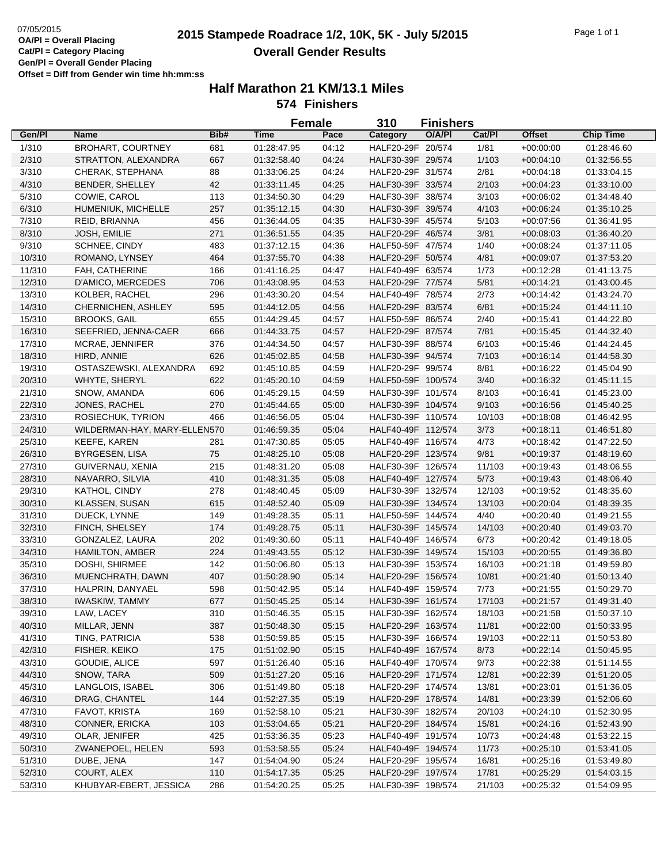# **2015**  $\frac{07}{05/2015}$  **2015 Stampede Roadrace 1/2, 10K, 5K - July 5/2015** Page 1 of 1 **Overall Gender Results**

|                  |                                |            |             | <b>Female</b> | 310                | <b>Finishers</b> |        |               |                  |  |
|------------------|--------------------------------|------------|-------------|---------------|--------------------|------------------|--------|---------------|------------------|--|
| Gen/Pl           | Name                           | Bib#       | Time        | Pace          | Category           | O/A/PI           | Cat/Pl | <b>Offset</b> | <b>Chip Time</b> |  |
| 1/310            | <b>BROHART, COURTNEY</b>       | 681        | 01:28:47.95 | 04:12         | HALF20-29F 20/574  |                  | 1/81   | $+00:00:00$   | 01:28:46.60      |  |
| 2/310            | STRATTON, ALEXANDRA            | 667        | 01:32:58.40 | 04:24         | HALF30-39F 29/574  |                  | 1/103  | $+00:04:10$   | 01:32:56.55      |  |
| 3/310            | CHERAK, STEPHANA               | 88         | 01:33:06.25 | 04:24         | HALF20-29F 31/574  |                  | 2/81   | $+00:04:18$   | 01:33:04.15      |  |
| 4/310            | BENDER, SHELLEY                | 42         | 01:33:11.45 | 04:25         | HALF30-39F 33/574  |                  | 2/103  | $+00:04:23$   | 01:33:10.00      |  |
| 5/310            | COWIE, CAROL                   | 113        | 01:34:50.30 | 04:29         | HALF30-39F 38/574  |                  | 3/103  | $+00:06:02$   | 01:34:48.40      |  |
| 6/310            | HUMENIUK, MICHELLE             | 257        | 01:35:12.15 | 04:30         | HALF30-39F 39/574  |                  | 4/103  | $+00:06:24$   | 01:35:10.25      |  |
| 7/310            | REID, BRIANNA                  | 456        | 01:36:44.05 | 04:35         | HALF30-39F 45/574  |                  | 5/103  | $+00:07:56$   | 01:36:41.95      |  |
| 8/310            | JOSH, EMILIE                   | 271        | 01:36:51.55 | 04:35         | HALF20-29F 46/574  |                  | 3/81   | $+00:08:03$   | 01:36:40.20      |  |
| 9/310            | SCHNEE, CINDY                  | 483        | 01:37:12.15 | 04:36         | HALF50-59F 47/574  |                  | 1/40   | $+00:08:24$   | 01:37:11.05      |  |
| 10/310           | ROMANO, LYNSEY                 | 464        | 01:37:55.70 | 04:38         | HALF20-29F 50/574  |                  | 4/81   | $+00:09:07$   | 01:37:53.20      |  |
| 11/310           | FAH, CATHERINE                 | 166        | 01:41:16.25 | 04:47         | HALF40-49F 63/574  |                  | 1/73   | $+00:12:28$   | 01:41:13.75      |  |
| 12/310           | D'AMICO, MERCEDES              | 706        | 01:43:08.95 | 04:53         | HALF20-29F 77/574  |                  | 5/81   | $+00:14:21$   | 01:43:00.45      |  |
| 13/310           | KOLBER, RACHEL                 | 296        | 01:43:30.20 | 04:54         | HALF40-49F 78/574  |                  | 2/73   | $+00:14:42$   | 01:43:24.70      |  |
| 14/310           | CHERNICHEN, ASHLEY             | 595        | 01:44:12.05 | 04:56         | HALF20-29F 83/574  |                  | 6/81   | $+00:15:24$   | 01:44:11.10      |  |
| 15/310           | <b>BROOKS, GAIL</b>            | 655        | 01:44:29.45 | 04:57         | HALF50-59F 86/574  |                  | 2/40   | $+00:15:41$   | 01:44:22.80      |  |
| 16/310           |                                | 666        | 01:44:33.75 | 04:57         | HALF20-29F 87/574  |                  | 7/81   | $+00:15:45$   | 01:44:32.40      |  |
|                  | SEEFRIED, JENNA-CAER           |            |             |               |                    |                  |        |               |                  |  |
| 17/310           | MCRAE, JENNIFER                | 376        | 01:44:34.50 | 04:57         | HALF30-39F 88/574  |                  | 6/103  | $+00:15:46$   | 01:44:24.45      |  |
| 18/310           | HIRD, ANNIE                    | 626        | 01:45:02.85 | 04:58         | HALF30-39F 94/574  |                  | 7/103  | $+00:16:14$   | 01:44:58.30      |  |
| 19/310           | OSTASZEWSKI, ALEXANDRA         | 692        | 01:45:10.85 | 04:59         | HALF20-29F 99/574  |                  | 8/81   | $+00:16:22$   | 01:45:04.90      |  |
| 20/310           | WHYTE, SHERYL                  | 622        | 01:45:20.10 | 04:59         | HALF50-59F 100/574 |                  | 3/40   | $+00:16:32$   | 01:45:11.15      |  |
| 21/310           | SNOW, AMANDA                   | 606        | 01:45:29.15 | 04:59         | HALF30-39F 101/574 |                  | 8/103  | $+00:16:41$   | 01:45:23.00      |  |
| 22/310           | JONES, RACHEL                  | 270        | 01:45:44.65 | 05:00         | HALF30-39F 104/574 |                  | 9/103  | $+00:16:56$   | 01:45:40.25      |  |
| 23/310           | ROSIECHUK, TYRION              | 466        | 01:46:56.05 | 05:04         | HALF30-39F 110/574 |                  | 10/103 | $+00:18:08$   | 01:46:42.95      |  |
| 24/310           | WILDERMAN-HAY, MARY-ELLEN570   |            | 01:46:59.35 | 05:04         | HALF40-49F 112/574 |                  | 3/73   | $+00:18:11$   | 01:46:51.80      |  |
| 25/310           | <b>KEEFE, KAREN</b>            | 281        | 01:47:30.85 | 05:05         | HALF40-49F 116/574 |                  | 4/73   | $+00:18:42$   | 01:47:22.50      |  |
| 26/310           | <b>BYRGESEN, LISA</b>          | 75         | 01:48:25.10 | 05:08         | HALF20-29F 123/574 |                  | 9/81   | $+00:19:37$   | 01:48:19.60      |  |
| 27/310           | GUIVERNAU, XENIA               | 215        | 01:48:31.20 | 05:08         | HALF30-39F 126/574 |                  | 11/103 | $+00:19:43$   | 01:48:06.55      |  |
| 28/310           | NAVARRO, SILVIA                | 410        | 01:48:31.35 | 05:08         | HALF40-49F 127/574 |                  | 5/73   | $+00:19:43$   | 01:48:06.40      |  |
| 29/310           | KATHOL, CINDY                  | 278        | 01:48:40.45 | 05:09         | HALF30-39F 132/574 |                  | 12/103 | $+00:19:52$   | 01:48:35.60      |  |
| 30/310           | KLASSEN, SUSAN                 | 615        | 01:48:52.40 | 05:09         | HALF30-39F 134/574 |                  | 13/103 | $+00:20:04$   | 01:48:39.35      |  |
| 31/310           | DUECK, LYNNE                   | 149        | 01:49:28.35 | 05:11         | HALF50-59F 144/574 |                  | 4/40   | $+00:20:40$   | 01:49:21.55      |  |
| 32/310           | FINCH, SHELSEY                 | 174        | 01:49:28.75 | 05:11         | HALF30-39F 145/574 |                  | 14/103 | $+00:20:40$   | 01:49:03.70      |  |
| 33/310           | GONZALEZ, LAURA                | 202        | 01:49:30.60 | 05:11         | HALF40-49F 146/574 |                  | 6/73   | $+00:20:42$   | 01:49:18.05      |  |
| 34/310           | HAMILTON, AMBER                | 224        | 01:49:43.55 | 05:12         | HALF30-39F 149/574 |                  | 15/103 | $+00:20:55$   | 01:49:36.80      |  |
| 35/310           | DOSHI, SHIRMEE                 | 142        | 01:50:06.80 | 05:13         | HALF30-39F 153/574 |                  | 16/103 | $+00:21:18$   | 01:49:59.80      |  |
| 36/310           | MUENCHRATH, DAWN               | 407        | 01:50:28.90 | 05:14         | HALF20-29F 156/574 |                  | 10/81  | $+00:21:40$   | 01:50:13.40      |  |
| 37/310           | HALPRIN, DANYAEL               | 598        | 01:50:42.95 | 05:14         | HALF40-49F 159/574 |                  | 7/73   | $+00:21:55$   | 01:50:29.70      |  |
| 38/310           | <b>IWASKIW, TAMMY</b>          | 677        | 01:50:45.25 | 05:14         | HALF30-39F 161/574 |                  | 17/103 | $+00:21:57$   | 01:49:31.40      |  |
| 39/310           | LAW, LACEY                     | 310        | 01:50:46.35 | 05:15         | HALF30-39F 162/574 |                  | 18/103 | $+00:21:58$   | 01:50:37.10      |  |
| 40/310           | MILLAR, JENN                   | 387        | 01:50:48.30 | 05:15         | HALF20-29F 163/574 |                  | 11/81  | $+00:22:00$   | 01:50:33.95      |  |
| 41/310           | TING, PATRICIA                 | 538        | 01:50:59.85 | 05:15         | HALF30-39F 166/574 |                  | 19/103 | $+00:22:11$   | 01:50:53.80      |  |
| 42/310           | FISHER, KEIKO                  | 175        | 01:51:02.90 | 05:15         | HALF40-49F 167/574 |                  | 8/73   | $+00.22:14$   | 01:50:45.95      |  |
| 43/310           | GOUDIE, ALICE                  | 597        | 01:51:26.40 | 05:16         | HALF40-49F 170/574 |                  | 9/73   | $+00:22:38$   | 01:51:14.55      |  |
| 44/310           | SNOW, TARA                     | 509        | 01:51:27.20 | 05:16         | HALF20-29F 171/574 |                  | 12/81  | $+00:22:39$   | 01:51:20.05      |  |
| 45/310           | LANGLOIS, ISABEL               | 306        | 01:51:49.80 | 05:18         | HALF20-29F 174/574 |                  | 13/81  | $+00:23:01$   | 01:51:36.05      |  |
| 46/310           | DRAG, CHANTEL                  | 144        | 01:52:27.35 | 05:19         | HALF20-29F 178/574 |                  | 14/81  | $+00:23:39$   | 01:52:06.60      |  |
| 47/310           | FAVOT, KRISTA                  | 169        | 01:52:58.10 | 05:21         | HALF30-39F 182/574 |                  | 20/103 | $+00:24:10$   | 01:52:30.95      |  |
| 48/310           | CONNER, ERICKA                 | 103        | 01:53:04.65 | 05:21         | HALF20-29F 184/574 |                  | 15/81  | $+00:24:16$   | 01:52:43.90      |  |
| 49/310           | OLAR, JENIFER                  | 425        | 01:53:36.35 | 05:23         | HALF40-49F 191/574 |                  | 10/73  | $+00:24:48$   | 01:53:22.15      |  |
|                  |                                |            |             |               |                    |                  | 11/73  |               |                  |  |
| 50/310<br>51/310 | ZWANEPOEL, HELEN<br>DUBE, JENA | 593<br>147 | 01:53:58.55 | 05:24         | HALF40-49F 194/574 |                  |        | $+00:25:10$   | 01:53:41.05      |  |
|                  |                                |            | 01:54:04.90 | 05:24         | HALF20-29F 195/574 |                  | 16/81  | $+00:25:16$   | 01:53:49.80      |  |
| 52/310           | COURT, ALEX                    | 110        | 01:54:17.35 | 05:25         | HALF20-29F 197/574 |                  | 17/81  | $+00:25:29$   | 01:54:03.15      |  |
| 53/310           | KHUBYAR-EBERT, JESSICA         | 286        | 01:54:20.25 | 05:25         | HALF30-39F 198/574 |                  | 21/103 | $+00:25:32$   | 01:54:09.95      |  |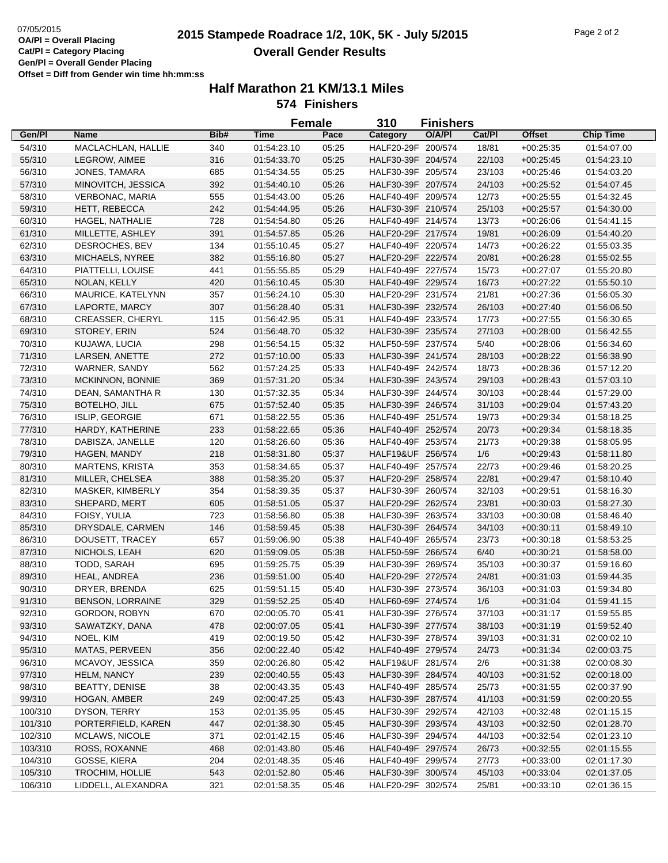# **2015 Stampede Roadrace 1/2, 10K, 5K - July 5/2015** 07/05/2015 Page 2 of 2 **Overall Gender Results**

|         |                         |      |                            | <b>Female</b> | 310                | <b>Finishers</b> |        |               |                            |
|---------|-------------------------|------|----------------------------|---------------|--------------------|------------------|--------|---------------|----------------------------|
| Gen/Pl  | <b>Name</b>             | Bib# | <b>Time</b>                | Pace          | Category           | O/A/PI           | Cat/Pl | <b>Offset</b> | <b>Chip Time</b>           |
| 54/310  | MACLACHLAN, HALLIE      | 340  | 01:54:23.10                | 05:25         | HALF20-29F 200/574 |                  | 18/81  | $+00:25:35$   | 01:54:07.00                |
| 55/310  | LEGROW, AIMEE           | 316  | 01:54:33.70                | 05:25         | HALF30-39F 204/574 |                  | 22/103 | $+00:25:45$   | 01:54:23.10                |
| 56/310  | JONES, TAMARA           | 685  | 01:54:34.55                | 05:25         | HALF30-39F 205/574 |                  | 23/103 | $+00:25:46$   | 01:54:03.20                |
| 57/310  | MINOVITCH, JESSICA      | 392  | 01:54:40.10                | 05:26         | HALF30-39F 207/574 |                  | 24/103 | $+00:25:52$   | 01:54:07.45                |
| 58/310  | <b>VERBONAC, MARIA</b>  | 555  | 01:54:43.00                | 05:26         | HALF40-49F 209/574 |                  | 12/73  | $+00:25:55$   | 01:54:32.45                |
| 59/310  | HETT, REBECCA           | 242  | 01:54:44.95                | 05:26         | HALF30-39F 210/574 |                  | 25/103 | $+00:25:57$   | 01:54:30.00                |
| 60/310  | HAGEL, NATHALIE         | 728  | 01:54:54.80                | 05:26         | HALF40-49F 214/574 |                  | 13/73  | $+00:26:06$   | 01:54:41.15                |
| 61/310  | MILLETTE, ASHLEY        | 391  | 01:54:57.85                | 05:26         | HALF20-29F 217/574 |                  | 19/81  | $+00:26:09$   | 01:54:40.20                |
| 62/310  | DESROCHES, BEV          | 134  | 01:55:10.45                | 05:27         | HALF40-49F 220/574 |                  | 14/73  | $+00:26:22$   | 01:55:03.35                |
| 63/310  | MICHAELS, NYREE         | 382  | 01:55:16.80                | 05:27         | HALF20-29F 222/574 |                  | 20/81  | $+00:26:28$   | 01:55:02.55                |
| 64/310  | PIATTELLI, LOUISE       | 441  | 01:55:55.85                | 05:29         | HALF40-49F 227/574 |                  | 15/73  | $+00:27:07$   | 01:55:20.80                |
| 65/310  | NOLAN, KELLY            | 420  | 01:56:10.45                | 05:30         | HALF40-49F 229/574 |                  | 16/73  | $+00:27:22$   | 01:55:50.10                |
| 66/310  | MAURICE, KATELYNN       | 357  | 01:56:24.10                | 05:30         | HALF20-29F 231/574 |                  | 21/81  | $+00:27:36$   | 01:56:05.30                |
| 67/310  | LAPORTE, MARCY          | 307  | 01:56:28.40                | 05:31         | HALF30-39F 232/574 |                  | 26/103 | $+00.27:40$   | 01:56:06.50                |
| 68/310  | <b>CREASSER, CHERYL</b> | 115  | 01:56:42.95                | 05:31         | HALF40-49F 233/574 |                  | 17/73  | $+00:27:55$   | 01:56:30.65                |
| 69/310  | STOREY, ERIN            | 524  | 01:56:48.70                | 05:32         | HALF30-39F 235/574 |                  | 27/103 | $+00:28:00$   | 01:56:42.55                |
| 70/310  | KUJAWA, LUCIA           | 298  | 01:56:54.15                | 05:32         | HALF50-59F 237/574 |                  | 5/40   | $+00:28:06$   | 01:56:34.60                |
| 71/310  | LARSEN, ANETTE          | 272  | 01:57:10.00                | 05:33         | HALF30-39F 241/574 |                  | 28/103 | $+00:28:22$   | 01:56:38.90                |
| 72/310  | WARNER, SANDY           | 562  | 01:57:24.25                | 05:33         | HALF40-49F 242/574 |                  | 18/73  | $+00:28:36$   | 01:57:12.20                |
| 73/310  | MCKINNON, BONNIE        | 369  | 01:57:31.20                | 05:34         | HALF30-39F 243/574 |                  | 29/103 | $+00:28:43$   | 01:57:03.10                |
| 74/310  | DEAN, SAMANTHA R        | 130  | 01:57:32.35                | 05:34         | HALF30-39F 244/574 |                  | 30/103 | $+00:28:44$   | 01:57:29.00                |
| 75/310  | BOTELHO, JILL           | 675  | 01:57:52.40                | 05:35         | HALF30-39F 246/574 |                  | 31/103 | $+00:29:04$   | 01:57:43.20                |
| 76/310  | ISLIP, GEORGIE          | 671  | 01:58:22.55                | 05:36         | HALF40-49F 251/574 |                  | 19/73  | $+00:29:34$   | 01:58:18.25                |
| 77/310  | HARDY, KATHERINE        | 233  | 01:58:22.65                | 05:36         | HALF40-49F 252/574 |                  | 20/73  | $+00:29:34$   | 01:58:18.35                |
| 78/310  | DABISZA, JANELLE        | 120  | 01:58:26.60                | 05:36         | HALF40-49F 253/574 |                  | 21/73  | $+00:29:38$   | 01:58:05.95                |
| 79/310  | HAGEN, MANDY            | 218  | 01:58:31.80                | 05:37         | HALF19&UF 256/574  |                  | 1/6    | $+00:29:43$   | 01:58:11.80                |
| 80/310  | <b>MARTENS, KRISTA</b>  | 353  | 01:58:34.65                | 05:37         | HALF40-49F 257/574 |                  | 22/73  | $+00:29:46$   | 01:58:20.25                |
| 81/310  | MILLER, CHELSEA         | 388  |                            | 05:37         | HALF20-29F 258/574 |                  | 22/81  |               |                            |
|         | MASKER, KIMBERLY        | 354  | 01:58:35.20<br>01:58:39.35 | 05:37         | HALF30-39F 260/574 |                  | 32/103 | $+00:29:47$   | 01:58:10.40<br>01:58:16.30 |
| 82/310  |                         |      |                            |               |                    |                  |        | $+00:29:51$   |                            |
| 83/310  | SHEPARD, MERT           | 605  | 01:58:51.05                | 05:37         | HALF20-29F 262/574 |                  | 23/81  | $+00:30:03$   | 01:58:27.30                |
| 84/310  | FOISY, YULIA            | 723  | 01:58:56.80                | 05:38         | HALF30-39F 263/574 |                  | 33/103 | $+00:30:08$   | 01:58:46.40                |
| 85/310  | DRYSDALE, CARMEN        | 146  | 01:58:59.45<br>01:59:06.90 | 05:38         | HALF30-39F 264/574 |                  | 34/103 | $+00:30:11$   | 01:58:49.10                |
| 86/310  | DOUSETT, TRACEY         | 657  |                            | 05:38         | HALF40-49F 265/574 |                  | 23/73  | $+00:30:18$   | 01:58:53.25<br>01:58:58.00 |
| 87/310  | NICHOLS, LEAH           | 620  | 01:59:09.05                | 05:38         | HALF50-59F 266/574 |                  | 6/40   | $+00:30:21$   |                            |
| 88/310  | TODD, SARAH             | 695  | 01:59:25.75                | 05:39         | HALF30-39F 269/574 |                  | 35/103 | $+00:30:37$   | 01:59:16.60                |
| 89/310  | HEAL, ANDREA            | 236  | 01:59:51.00                | 05:40         | HALF20-29F 272/574 |                  | 24/81  | $+00:31:03$   | 01:59:44.35                |
| 90/310  | DRYER, BRENDA           | 625  | 01:59:51.15                | 05:40         | HALF30-39F 273/574 |                  | 36/103 | $+00:31:03$   | 01:59:34.80                |
| 91/310  | <b>BENSON, LORRAINE</b> | 329  | 01:59:52.25                | 05:40         | HALF60-69F 274/574 |                  | 1/6    | $+00:31:04$   | 01:59:41.15                |
| 92/310  | <b>GORDON, ROBYN</b>    | 670  | 02:00:05.70                | 05:41         | HALF30-39F 276/574 |                  | 37/103 | $+00:31:17$   | 01:59:55.85                |
| 93/310  | SAWATZKY, DANA          | 478  | 02:00:07.05                | 05:41         | HALF30-39F 277/574 |                  | 38/103 | $+00:31:19$   | 01:59:52.40                |
| 94/310  | NOEL, KIM               | 419  | 02:00:19.50                | 05:42         | HALF30-39F 278/574 |                  | 39/103 | $+00:31:31$   | 02:00:02.10                |
| 95/310  | MATAS, PERVEEN          | 356  | 02:00:22.40                | 05:42         | HALF40-49F 279/574 |                  | 24/73  | $+00:31:34$   | 02:00:03.75                |
| 96/310  | MCAVOY, JESSICA         | 359  | 02:00:26.80                | 05:42         | HALF19&UF 281/574  |                  | 2/6    | $+00:31:38$   | 02:00:08.30                |
| 97/310  | HELM, NANCY             | 239  | 02:00:40.55                | 05:43         | HALF30-39F 284/574 |                  | 40/103 | $+00:31:52$   | 02:00:18.00                |
| 98/310  | <b>BEATTY, DENISE</b>   | 38   | 02:00:43.35                | 05:43         | HALF40-49F 285/574 |                  | 25/73  | $+00:31:55$   | 02:00:37.90                |
| 99/310  | HOGAN, AMBER            | 249  | 02:00:47.25                | 05:43         | HALF30-39F 287/574 |                  | 41/103 | $+00:31:59$   | 02:00:20.55                |
| 100/310 | DYSON, TERRY            | 153  | 02:01:35.95                | 05:45         | HALF30-39F 292/574 |                  | 42/103 | $+00:32:48$   | 02:01:15.15                |
| 101/310 | PORTERFIELD, KAREN      | 447  | 02:01:38.30                | 05:45         | HALF30-39F 293/574 |                  | 43/103 | $+00:32:50$   | 02:01:28.70                |
| 102/310 | MCLAWS, NICOLE          | 371  | 02:01:42.15                | 05:46         | HALF30-39F 294/574 |                  | 44/103 | $+00:32:54$   | 02:01:23.10                |
| 103/310 | ROSS, ROXANNE           | 468  | 02:01:43.80                | 05:46         | HALF40-49F 297/574 |                  | 26/73  | $+00:32:55$   | 02:01:15.55                |
| 104/310 | GOSSE, KIERA            | 204  | 02:01:48.35                | 05:46         | HALF40-49F 299/574 |                  | 27/73  | $+00:33:00$   | 02:01:17.30                |
| 105/310 | TROCHIM, HOLLIE         | 543  | 02:01:52.80                | 05:46         | HALF30-39F 300/574 |                  | 45/103 | $+00.33.04$   | 02:01:37.05                |
| 106/310 | LIDDELL, ALEXANDRA      | 321  | 02:01:58.35                | 05:46         | HALF20-29F 302/574 |                  | 25/81  | $+00:33:10$   | 02:01:36.15                |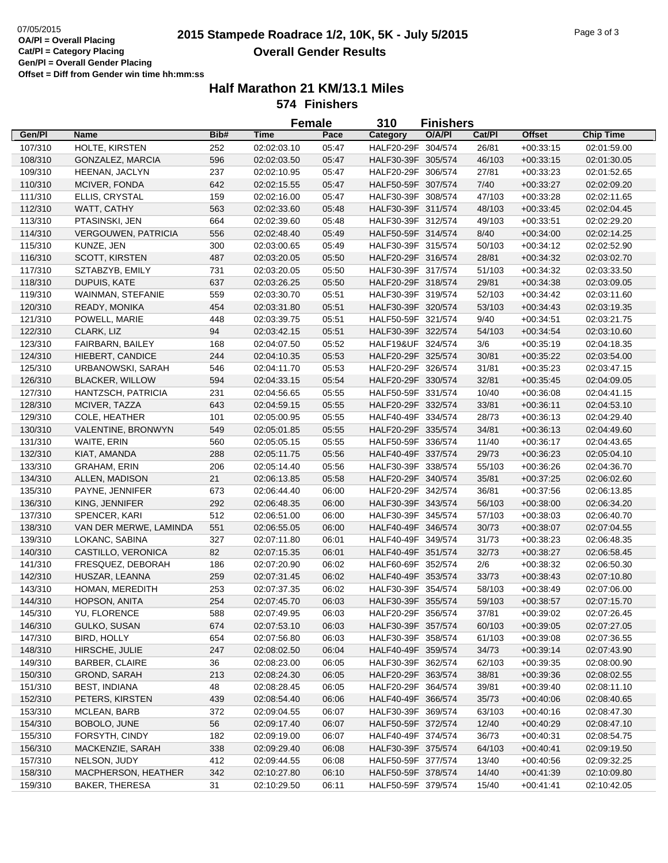# **2015 Stampede Roadrace 1/2, 10K, 5K - July 5/2015** 07/05/2015 Page 3 of 3 **Overall Gender Results**

|         |                            |      | <b>Female</b> |       | 310<br><b>Finishers</b> |        |        |               |                  |
|---------|----------------------------|------|---------------|-------|-------------------------|--------|--------|---------------|------------------|
| Gen/Pl  | <b>Name</b>                | Bib# | Time          | Pace  | Category                | O/A/PI | Cat/Pl | <b>Offset</b> | <b>Chip Time</b> |
| 107/310 | HOLTE, KIRSTEN             | 252  | 02:02:03.10   | 05:47 | HALF20-29F 304/574      |        | 26/81  | $+00:33:15$   | 02:01:59.00      |
| 108/310 | GONZALEZ, MARCIA           | 596  | 02:02:03.50   | 05:47 | HALF30-39F 305/574      |        | 46/103 | $+00:33:15$   | 02:01:30.05      |
| 109/310 | HEENAN, JACLYN             | 237  | 02:02:10.95   | 05:47 | HALF20-29F 306/574      |        | 27/81  | $+00:33:23$   | 02:01:52.65      |
| 110/310 | MCIVER, FONDA              | 642  | 02:02:15.55   | 05:47 | HALF50-59F 307/574      |        | 7/40   | $+00:33:27$   | 02:02:09.20      |
| 111/310 | ELLIS, CRYSTAL             | 159  | 02:02:16.00   | 05:47 | HALF30-39F 308/574      |        | 47/103 | $+00:33:28$   | 02:02:11.65      |
| 112/310 | WATT, CATHY                | 563  | 02:02:33.60   | 05:48 | HALF30-39F 311/574      |        | 48/103 | $+00:33:45$   | 02:02:04.45      |
| 113/310 | PTASINSKI, JEN             | 664  | 02:02:39.60   | 05:48 | HALF30-39F 312/574      |        | 49/103 | $+00:33:51$   | 02:02:29.20      |
| 114/310 | <b>VERGOUWEN, PATRICIA</b> | 556  | 02:02:48.40   | 05:49 | HALF50-59F 314/574      |        | 8/40   | $+00:34:00$   | 02:02:14.25      |
| 115/310 | KUNZE, JEN                 | 300  | 02:03:00.65   | 05:49 | HALF30-39F 315/574      |        | 50/103 | $+00:34:12$   | 02:02:52.90      |
| 116/310 | SCOTT, KIRSTEN             | 487  | 02:03:20.05   | 05:50 | HALF20-29F 316/574      |        | 28/81  | $+00:34:32$   | 02:03:02.70      |
| 117/310 | SZTABZYB, EMILY            | 731  | 02:03:20.05   | 05:50 | HALF30-39F 317/574      |        | 51/103 | $+00:34:32$   | 02:03:33.50      |
| 118/310 | DUPUIS, KATE               | 637  | 02:03:26.25   | 05:50 | HALF20-29F 318/574      |        | 29/81  | $+00:34:38$   | 02:03:09.05      |
| 119/310 | WAINMAN, STEFANIE          | 559  | 02:03:30.70   | 05:51 | HALF30-39F 319/574      |        | 52/103 | $+00:34:42$   | 02:03:11.60      |
| 120/310 | READY, MONIKA              | 454  | 02:03:31.80   | 05:51 | HALF30-39F 320/574      |        | 53/103 | $+00:34:43$   | 02:03:19.35      |
| 121/310 | POWELL, MARIE              | 448  | 02:03:39.75   | 05:51 | HALF50-59F 321/574      |        | 9/40   | $+00:34:51$   | 02:03:21.75      |
| 122/310 | CLARK, LIZ                 | 94   | 02:03:42.15   | 05:51 | HALF30-39F 322/574      |        | 54/103 | $+00:34:54$   | 02:03:10.60      |
| 123/310 | FAIRBARN, BAILEY           | 168  | 02:04:07.50   | 05:52 | HALF19&UF 324/574       |        | 3/6    | $+00:35:19$   | 02:04:18.35      |
| 124/310 | HIEBERT, CANDICE           | 244  | 02:04:10.35   | 05:53 | HALF20-29F 325/574      |        | 30/81  | $+00:35:22$   | 02:03:54.00      |
| 125/310 | URBANOWSKI, SARAH          | 546  | 02:04:11.70   | 05:53 | HALF20-29F 326/574      |        | 31/81  | $+00:35:23$   | 02:03:47.15      |
| 126/310 | <b>BLACKER, WILLOW</b>     | 594  | 02:04:33.15   | 05:54 | HALF20-29F 330/574      |        | 32/81  | $+00:35:45$   | 02:04:09.05      |
| 127/310 | HANTZSCH, PATRICIA         | 231  | 02:04:56.65   | 05:55 | HALF50-59F 331/574      |        | 10/40  | $+00:36:08$   | 02:04:41.15      |
| 128/310 | MCIVER, TAZZA              | 643  | 02:04:59.15   | 05:55 | HALF20-29F 332/574      |        | 33/81  | $+00:36:11$   | 02:04:53.10      |
|         | COLE, HEATHER              | 101  | 02:05:00.95   | 05:55 | HALF40-49F 334/574      |        | 28/73  | $+00:36:13$   | 02:04:29.40      |
| 129/310 |                            |      | 02:05:01.85   |       | HALF20-29F 335/574      |        |        |               |                  |
| 130/310 | VALENTINE, BRONWYN         | 549  |               | 05:55 |                         |        | 34/81  | $+00:36:13$   | 02:04:49.60      |
| 131/310 | WAITE, ERIN                | 560  | 02:05:05.15   | 05:55 | HALF50-59F 336/574      |        | 11/40  | $+00:36:17$   | 02:04:43.65      |
| 132/310 | KIAT, AMANDA               | 288  | 02:05:11.75   | 05:56 | HALF40-49F 337/574      |        | 29/73  | $+00:36:23$   | 02:05:04.10      |
| 133/310 | <b>GRAHAM, ERIN</b>        | 206  | 02:05:14.40   | 05:56 | HALF30-39F 338/574      |        | 55/103 | $+00:36:26$   | 02:04:36.70      |
| 134/310 | ALLEN, MADISON             | 21   | 02:06:13.85   | 05:58 | HALF20-29F 340/574      |        | 35/81  | $+00:37:25$   | 02:06:02.60      |
| 135/310 | PAYNE, JENNIFER            | 673  | 02:06:44.40   | 06:00 | HALF20-29F 342/574      |        | 36/81  | $+00:37:56$   | 02:06:13.85      |
| 136/310 | KING, JENNIFER             | 292  | 02:06:48.35   | 06:00 | HALF30-39F 343/574      |        | 56/103 | $+00:38:00$   | 02:06:34.20      |
| 137/310 | SPENCER, KARI              | 512  | 02:06:51.00   | 06:00 | HALF30-39F 345/574      |        | 57/103 | $+00:38:03$   | 02:06:40.70      |
| 138/310 | VAN DER MERWE, LAMINDA     | 551  | 02:06:55.05   | 06:00 | HALF40-49F 346/574      |        | 30/73  | $+00:38:07$   | 02:07:04.55      |
| 139/310 | LOKANC, SABINA             | 327  | 02:07:11.80   | 06:01 | HALF40-49F 349/574      |        | 31/73  | $+00:38:23$   | 02:06:48.35      |
| 140/310 | CASTILLO, VERONICA         | 82   | 02:07:15.35   | 06:01 | HALF40-49F 351/574      |        | 32/73  | $+00:38:27$   | 02:06:58.45      |
| 141/310 | FRESQUEZ, DEBORAH          | 186  | 02:07:20.90   | 06:02 | HALF60-69F 352/574      |        | 2/6    | $+00:38:32$   | 02:06:50.30      |
| 142/310 | HUSZAR, LEANNA             | 259  | 02:07:31.45   | 06:02 | HALF40-49F 353/574      |        | 33/73  | $+00:38:43$   | 02:07:10.80      |
| 143/310 | HOMAN, MEREDITH            | 253  | 02:07:37.35   | 06:02 | HALF30-39F 354/574      |        | 58/103 | $+00.38.49$   | 02:07:06.00      |
| 144/310 | HOPSON, ANITA              | 254  | 02:07:45.70   | 06:03 | HALF30-39F 355/574      |        | 59/103 | $+00:38:57$   | 02:07:15.70      |
| 145/310 | YU, FLORENCE               | 588  | 02:07:49.95   | 06:03 | HALF20-29F 356/574      |        | 37/81  | $+00:39:02$   | 02:07:26.45      |
| 146/310 | GULKO, SUSAN               | 674  | 02:07:53.10   | 06:03 | HALF30-39F 357/574      |        | 60/103 | $+00:39:05$   | 02:07:27.05      |
| 147/310 | <b>BIRD, HOLLY</b>         | 654  | 02:07:56.80   | 06:03 | HALF30-39F 358/574      |        | 61/103 | $+00:39:08$   | 02:07:36.55      |
| 148/310 | HIRSCHE, JULIE             | 247  | 02:08:02.50   | 06:04 | HALF40-49F 359/574      |        | 34/73  | $+00:39:14$   | 02:07:43.90      |
| 149/310 | <b>BARBER, CLAIRE</b>      | 36   | 02:08:23.00   | 06:05 | HALF30-39F 362/574      |        | 62/103 | $+00:39:35$   | 02:08:00.90      |
| 150/310 | GROND, SARAH               | 213  | 02:08:24.30   | 06:05 | HALF20-29F 363/574      |        | 38/81  | $+00:39:36$   | 02:08:02.55      |
| 151/310 | <b>BEST, INDIANA</b>       | 48   | 02:08:28.45   | 06:05 | HALF20-29F 364/574      |        | 39/81  | $+00:39:40$   | 02:08:11.10      |
| 152/310 | PETERS, KIRSTEN            | 439  | 02:08:54.40   | 06:06 | HALF40-49F 366/574      |        | 35/73  | $+00.40.06$   | 02:08:40.65      |
| 153/310 | MCLEAN, BARB               | 372  | 02:09:04.55   | 06:07 | HALF30-39F 369/574      |        | 63/103 | $+00.40:16$   | 02:08:47.30      |
| 154/310 | BOBOLO, JUNE               | 56   | 02:09:17.40   | 06:07 | HALF50-59F 372/574      |        | 12/40  | $+00:40:29$   | 02:08:47.10      |
| 155/310 | FORSYTH, CINDY             | 182  | 02:09:19.00   | 06:07 | HALF40-49F 374/574      |        | 36/73  | $+00:40:31$   | 02:08:54.75      |
| 156/310 | MACKENZIE, SARAH           | 338  | 02:09:29.40   | 06:08 | HALF30-39F 375/574      |        | 64/103 | $+00.40.41$   | 02:09:19.50      |
| 157/310 | NELSON, JUDY               | 412  | 02:09:44.55   | 06:08 | HALF50-59F 377/574      |        | 13/40  | $+00:40:56$   | 02:09:32.25      |
| 158/310 | MACPHERSON, HEATHER        | 342  | 02:10:27.80   | 06:10 | HALF50-59F 378/574      |        | 14/40  | $+00:41:39$   | 02:10:09.80      |
| 159/310 | BAKER, THERESA             | 31   | 02:10:29.50   | 06:11 | HALF50-59F 379/574      |        | 15/40  | $+00:41:41$   | 02:10:42.05      |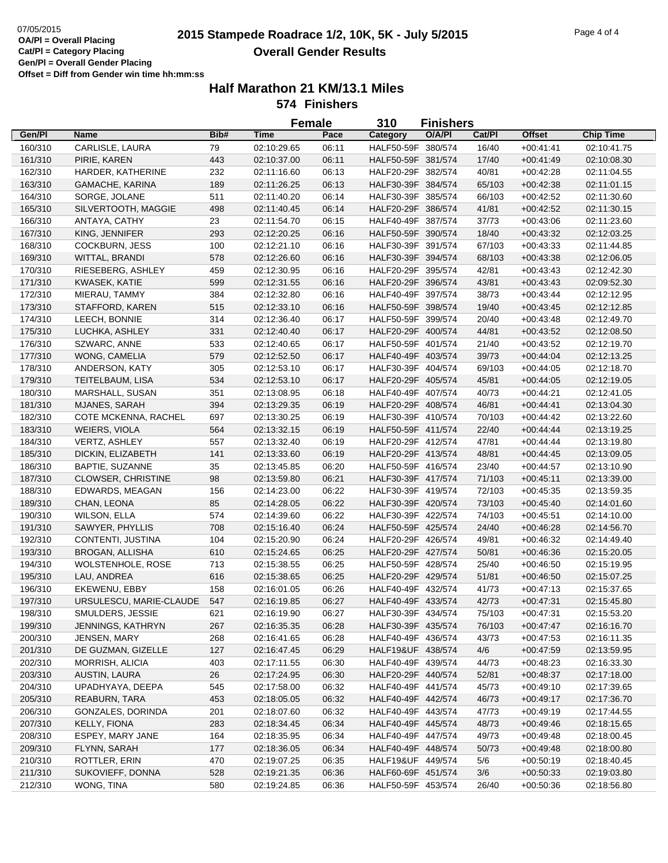# **2015 Stampede Roadrace 1/2, 10K, 5K - July 5/2015** 07/05/2015 Page 4 of 4 **Overall Gender Results**

|         |                           |      | <b>Female</b> |       | 310                | <b>Finishers</b> |        |               |                  |
|---------|---------------------------|------|---------------|-------|--------------------|------------------|--------|---------------|------------------|
| Gen/Pl  | Name                      | Bib# | Time          | Pace  | Category           | O/A/PI           | Cat/PI | <b>Offset</b> | <b>Chip Time</b> |
| 160/310 | CARLISLE, LAURA           | 79   | 02:10:29.65   | 06:11 | HALF50-59F 380/574 |                  | 16/40  | $+00:41:41$   | 02:10:41.75      |
| 161/310 | PIRIE, KAREN              | 443  | 02:10:37.00   | 06:11 | HALF50-59F 381/574 |                  | 17/40  | $+00:41:49$   | 02:10:08.30      |
| 162/310 | HARDER, KATHERINE         | 232  | 02:11:16.60   | 06:13 | HALF20-29F 382/574 |                  | 40/81  | $+00:42:28$   | 02:11:04.55      |
| 163/310 | GAMACHE, KARINA           | 189  | 02:11:26.25   | 06:13 | HALF30-39F 384/574 |                  | 65/103 | $+00:42:38$   | 02:11:01.15      |
| 164/310 | SORGE, JOLANE             | 511  | 02:11:40.20   | 06:14 | HALF30-39F 385/574 |                  | 66/103 | $+00:42:52$   | 02:11:30.60      |
| 165/310 | SILVERTOOTH, MAGGIE       | 498  | 02:11:40.45   | 06:14 | HALF20-29F 386/574 |                  | 41/81  | $+00:42:52$   | 02:11:30.15      |
| 166/310 | ANTAYA, CATHY             | 23   | 02:11:54.70   | 06:15 | HALF40-49F 387/574 |                  | 37/73  | $+00:43:06$   | 02:11:23.60      |
| 167/310 | KING, JENNIFER            | 293  | 02:12:20.25   | 06:16 | HALF50-59F 390/574 |                  | 18/40  | $+00:43:32$   | 02:12:03.25      |
| 168/310 | <b>COCKBURN, JESS</b>     | 100  | 02:12:21.10   | 06:16 | HALF30-39F 391/574 |                  | 67/103 | $+00:43:33$   | 02:11:44.85      |
| 169/310 | WITTAL, BRANDI            | 578  | 02:12:26.60   | 06:16 | HALF30-39F 394/574 |                  | 68/103 | $+00:43:38$   | 02:12:06.05      |
| 170/310 | RIESEBERG, ASHLEY         | 459  | 02:12:30.95   | 06:16 | HALF20-29F 395/574 |                  | 42/81  | $+00:43:43$   | 02:12:42.30      |
| 171/310 | KWASEK, KATIE             | 599  | 02:12:31.55   | 06:16 | HALF20-29F 396/574 |                  | 43/81  | $+00.43:43$   | 02:09:52.30      |
| 172/310 | MIERAU, TAMMY             | 384  | 02:12:32.80   | 06:16 | HALF40-49F 397/574 |                  | 38/73  | $+00:43:44$   | 02:12:12.95      |
| 173/310 | STAFFORD, KAREN           | 515  | 02:12:33.10   | 06:16 | HALF50-59F 398/574 |                  | 19/40  | $+00:43:45$   | 02:12:12.85      |
| 174/310 | LEECH, BONNIE             | 314  | 02:12:36.40   | 06:17 | HALF50-59F 399/574 |                  | 20/40  | $+00:43:48$   | 02:12:49.70      |
| 175/310 | LUCHKA, ASHLEY            | 331  | 02:12:40.40   | 06:17 | HALF20-29F 400/574 |                  | 44/81  | $+00:43:52$   | 02:12:08.50      |
| 176/310 | SZWARC, ANNE              | 533  | 02:12:40.65   | 06:17 | HALF50-59F 401/574 |                  | 21/40  | $+00:43:52$   | 02:12:19.70      |
| 177/310 | WONG, CAMELIA             | 579  | 02:12:52.50   | 06:17 | HALF40-49F 403/574 |                  | 39/73  | $+00:44:04$   | 02:12:13.25      |
| 178/310 | ANDERSON, KATY            | 305  | 02:12:53.10   | 06:17 | HALF30-39F 404/574 |                  | 69/103 | $+00:44:05$   | 02:12:18.70      |
| 179/310 | TEITELBAUM, LISA          | 534  | 02:12:53.10   | 06:17 | HALF20-29F 405/574 |                  | 45/81  | $+00:44:05$   | 02:12:19.05      |
| 180/310 | MARSHALL, SUSAN           | 351  | 02:13:08.95   | 06:18 | HALF40-49F 407/574 |                  | 40/73  | $+00:44:21$   | 02:12:41.05      |
| 181/310 | MJANES, SARAH             | 394  | 02:13:29.35   | 06:19 | HALF20-29F 408/574 |                  | 46/81  | $+00:44:41$   | 02:13:04.30      |
| 182/310 | COTE MCKENNA, RACHEL      | 697  | 02:13:30.25   | 06:19 | HALF30-39F 410/574 |                  | 70/103 | $+00:44:42$   | 02:13:22.60      |
| 183/310 | WEIERS, VIOLA             | 564  | 02:13:32.15   | 06:19 | HALF50-59F 411/574 |                  | 22/40  | $+00:44:44$   | 02:13:19.25      |
| 184/310 | VERTZ, ASHLEY             | 557  | 02:13:32.40   | 06:19 | HALF20-29F 412/574 |                  | 47/81  | $+00:44:44$   | 02:13:19.80      |
| 185/310 | DICKIN, ELIZABETH         | 141  | 02:13:33.60   | 06:19 | HALF20-29F 413/574 |                  | 48/81  | $+00:44:45$   | 02:13:09.05      |
| 186/310 | BAPTIE, SUZANNE           | 35   | 02:13:45.85   | 06:20 | HALF50-59F 416/574 |                  | 23/40  | $+00:44:57$   | 02:13:10.90      |
| 187/310 | <b>CLOWSER, CHRISTINE</b> | 98   | 02:13:59.80   | 06:21 | HALF30-39F 417/574 |                  | 71/103 | $+00:45:11$   | 02:13:39.00      |
| 188/310 | EDWARDS, MEAGAN           | 156  | 02:14:23.00   | 06:22 | HALF30-39F 419/574 |                  | 72/103 | $+00:45:35$   | 02:13:59.35      |
| 189/310 | CHAN, LEONA               | 85   | 02:14:28.05   | 06:22 | HALF30-39F 420/574 |                  | 73/103 | $+00:45:40$   | 02:14:01.60      |
| 190/310 | <b>WILSON, ELLA</b>       | 574  | 02:14:39.60   | 06:22 | HALF30-39F 422/574 |                  | 74/103 | $+00:45:51$   | 02:14:10.00      |
| 191/310 | SAWYER, PHYLLIS           | 708  | 02:15:16.40   | 06:24 | HALF50-59F 425/574 |                  | 24/40  | $+00:46:28$   | 02:14:56.70      |
| 192/310 | CONTENTI, JUSTINA         | 104  | 02:15:20.90   | 06:24 | HALF20-29F 426/574 |                  | 49/81  | $+00:46:32$   | 02:14:49.40      |
| 193/310 | <b>BROGAN, ALLISHA</b>    | 610  | 02:15:24.65   | 06:25 | HALF20-29F 427/574 |                  | 50/81  | $+00:46:36$   | 02:15:20.05      |
| 194/310 | WOLSTENHOLE, ROSE         | 713  | 02:15:38.55   | 06:25 | HALF50-59F 428/574 |                  | 25/40  | $+00:46:50$   | 02:15:19.95      |
| 195/310 | LAU, ANDREA               | 616  | 02:15:38.65   | 06:25 | HALF20-29F 429/574 |                  | 51/81  | $+00:46:50$   | 02:15:07.25      |
| 196/310 | EKEWENU, EBBY             | 158  | 02:16:01.05   | 06:26 | HALF40-49F 432/574 |                  | 41/73  | $+00:47:13$   | 02:15:37.65      |
| 197/310 | URSULESCU, MARIE-CLAUDE   | 547  | 02:16:19.85   | 06:27 | HALF40-49F 433/574 |                  | 42/73  | $+00:47:31$   | 02:15:45.80      |
| 198/310 | SMULDERS, JESSIE          | 621  | 02:16:19.90   | 06:27 | HALF30-39F 434/574 |                  | 75/103 | $+00:47:31$   | 02:15:53.20      |
| 199/310 | <b>JENNINGS, KATHRYN</b>  | 267  | 02:16:35.35   | 06:28 | HALF30-39F 435/574 |                  | 76/103 | $+00.47:47$   | 02:16:16.70      |
| 200/310 | JENSEN, MARY              | 268  | 02:16:41.65   | 06:28 | HALF40-49F 436/574 |                  | 43/73  | $+00.47:53$   | 02:16:11.35      |
| 201/310 | DE GUZMAN, GIZELLE        | 127  | 02:16:47.45   | 06:29 | HALF19&UF 438/574  |                  | 4/6    | $+00.47:59$   | 02:13:59.95      |
| 202/310 | MORRISH, ALICIA           | 403  | 02:17:11.55   | 06:30 | HALF40-49F 439/574 |                  | 44/73  | $+00.48.23$   | 02:16:33.30      |
| 203/310 | AUSTIN, LAURA             | 26   | 02:17:24.95   | 06:30 | HALF20-29F 440/574 |                  | 52/81  | $+00.48:37$   | 02:17:18.00      |
| 204/310 | UPADHYAYA, DEEPA          | 545  | 02:17:58.00   | 06:32 | HALF40-49F 441/574 |                  | 45/73  | $+00:49:10$   | 02:17:39.65      |
| 205/310 | REABURN, TARA             | 453  | 02:18:05.05   | 06:32 | HALF40-49F 442/574 |                  | 46/73  | $+00.49:17$   | 02:17:36.70      |
| 206/310 | GONZALES, DORINDA         | 201  | 02:18:07.60   | 06:32 | HALF40-49F 443/574 |                  | 47/73  | $+00.49:19$   | 02:17:44.55      |
| 207/310 | KELLY, FIONA              | 283  | 02:18:34.45   | 06:34 | HALF40-49F 445/574 |                  | 48/73  | $+00.49.46$   | 02:18:15.65      |
| 208/310 | ESPEY, MARY JANE          | 164  | 02:18:35.95   | 06:34 | HALF40-49F 447/574 |                  | 49/73  | $+00:49:48$   | 02:18:00.45      |
| 209/310 | FLYNN, SARAH              | 177  | 02:18:36.05   | 06:34 | HALF40-49F 448/574 |                  | 50/73  | $+00.49:48$   | 02:18:00.80      |
| 210/310 | ROTTLER, ERIN             | 470  | 02:19:07.25   | 06:35 | HALF19&UF 449/574  |                  | 5/6    | $+00.50:19$   | 02:18:40.45      |
| 211/310 | SUKOVIEFF, DONNA          | 528  | 02:19:21.35   | 06:36 | HALF60-69F 451/574 |                  | 3/6    | $+00.50.33$   | 02:19:03.80      |
| 212/310 | WONG, TINA                | 580  | 02:19:24.85   | 06:36 | HALF50-59F 453/574 |                  | 26/40  | $+00:50:36$   | 02:18:56.80      |
|         |                           |      |               |       |                    |                  |        |               |                  |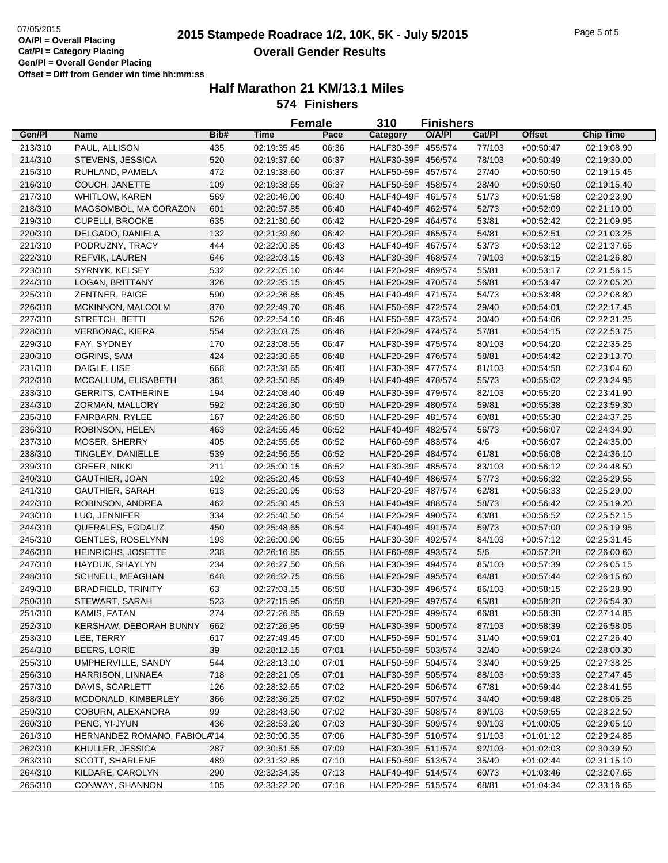# **2015 Stampede Roadrace 1/2, 10K, 5K - July 5/2015** 07/05/2015 Page 5 of 5 **Overall Gender Results**

|         |                              |      |             | <b>Female</b> | 310                | <b>Finishers</b> |        |                            |                            |
|---------|------------------------------|------|-------------|---------------|--------------------|------------------|--------|----------------------------|----------------------------|
| Gen/Pl  | <b>Name</b>                  | Bib# | <b>Time</b> | Pace          | Category           | O/A/PI           | Cat/Pl | <b>Offset</b>              | <b>Chip Time</b>           |
| 213/310 | PAUL, ALLISON                | 435  | 02:19:35.45 | 06:36         | HALF30-39F 455/574 |                  | 77/103 | $+00:50:47$                | 02:19:08.90                |
| 214/310 | STEVENS, JESSICA             | 520  | 02:19:37.60 | 06:37         | HALF30-39F 456/574 |                  | 78/103 | $+00:50:49$                | 02:19:30.00                |
| 215/310 | RUHLAND, PAMELA              | 472  | 02:19:38.60 | 06:37         | HALF50-59F 457/574 |                  | 27/40  | $+00:50:50$                | 02:19:15.45                |
| 216/310 | COUCH, JANETTE               | 109  | 02:19:38.65 | 06:37         | HALF50-59F 458/574 |                  | 28/40  | $+00:50:50$                | 02:19:15.40                |
| 217/310 | <b>WHITLOW, KAREN</b>        | 569  | 02:20:46.00 | 06:40         | HALF40-49F 461/574 |                  | 51/73  | $+00.51:58$                | 02:20:23.90                |
| 218/310 | MAGSOMBOL, MA CORAZON        | 601  | 02:20:57.85 | 06:40         | HALF40-49F 462/574 |                  | 52/73  | $+00:52:09$                | 02:21:10.00                |
| 219/310 | CUPELLI, BROOKE              | 635  | 02:21:30.60 | 06:42         | HALF20-29F 464/574 |                  | 53/81  | $+00.52:42$                | 02:21:09.95                |
| 220/310 | DELGADO, DANIELA             | 132  | 02:21:39.60 | 06:42         | HALF20-29F 465/574 |                  | 54/81  | $+00.52:51$                | 02:21:03.25                |
| 221/310 | PODRUZNY, TRACY              | 444  | 02:22:00.85 | 06:43         | HALF40-49F 467/574 |                  | 53/73  | $+00:53:12$                | 02:21:37.65                |
| 222/310 | REFVIK, LAUREN               | 646  | 02:22:03.15 | 06:43         | HALF30-39F 468/574 |                  | 79/103 | $+00:53:15$                | 02:21:26.80                |
| 223/310 | SYRNYK, KELSEY               | 532  | 02:22:05.10 | 06:44         | HALF20-29F 469/574 |                  | 55/81  | $+00:53:17$                | 02:21:56.15                |
| 224/310 | LOGAN, BRITTANY              | 326  | 02:22:35.15 | 06:45         | HALF20-29F 470/574 |                  | 56/81  | $+00.53:47$                | 02:22:05.20                |
| 225/310 | ZENTNER, PAIGE               | 590  | 02:22:36.85 | 06:45         | HALF40-49F 471/574 |                  | 54/73  | $+00:53:48$                | 02:22:08.80                |
| 226/310 | MCKINNON, MALCOLM            | 370  | 02:22:49.70 | 06:46         | HALF50-59F 472/574 |                  | 29/40  | $+00:54:01$                | 02:22:17.45                |
| 227/310 | STRETCH, BETTI               | 526  | 02:22:54.10 | 06:46         | HALF50-59F 473/574 |                  | 30/40  | $+00:54:06$                | 02:22:31.25                |
| 228/310 | <b>VERBONAC, KIERA</b>       | 554  | 02:23:03.75 | 06:46         | HALF20-29F 474/574 |                  | 57/81  | $+00.54:15$                | 02:22:53.75                |
| 229/310 | FAY, SYDNEY                  | 170  | 02:23:08.55 | 06:47         | HALF30-39F 475/574 |                  | 80/103 | $+00:54:20$                | 02:22:35.25                |
| 230/310 | OGRINS, SAM                  | 424  | 02:23:30.65 | 06:48         | HALF20-29F 476/574 |                  | 58/81  | $+00:54:42$                | 02:23:13.70                |
| 231/310 | DAIGLE, LISE                 | 668  | 02:23:38.65 | 06:48         | HALF30-39F 477/574 |                  | 81/103 | $+00:54:50$                | 02:23:04.60                |
| 232/310 | MCCALLUM, ELISABETH          | 361  | 02:23:50.85 | 06:49         | HALF40-49F 478/574 |                  | 55/73  |                            |                            |
| 233/310 | <b>GERRITS, CATHERINE</b>    | 194  | 02:24:08.40 | 06:49         | HALF30-39F 479/574 |                  | 82/103 | $+00:55:02$<br>$+00.55:20$ | 02:23:24.95<br>02:23:41.90 |
|         |                              |      | 02:24:26.30 |               | HALF20-29F 480/574 |                  |        |                            |                            |
| 234/310 | ZORMAN, MALLORY              | 592  |             | 06:50         |                    |                  | 59/81  | $+00.55:38$                | 02:23:59.30                |
| 235/310 | FAIRBARN, RYLEE              | 167  | 02:24:26.60 | 06:50         | HALF20-29F 481/574 |                  | 60/81  | $+00:55:38$                | 02:24:37.25                |
| 236/310 | ROBINSON, HELEN              | 463  | 02:24:55.45 | 06:52         | HALF40-49F 482/574 |                  | 56/73  | $+00:56:07$                | 02:24:34.90                |
| 237/310 | MOSER, SHERRY                | 405  | 02:24:55.65 | 06:52         | HALF60-69F 483/574 |                  | 4/6    | $+00:56:07$                | 02:24:35.00                |
| 238/310 | TINGLEY, DANIELLE            | 539  | 02:24:56.55 | 06:52         | HALF20-29F 484/574 |                  | 61/81  | $+00:56:08$                | 02:24:36.10                |
| 239/310 | <b>GREER, NIKKI</b>          | 211  | 02:25:00.15 | 06:52         | HALF30-39F 485/574 |                  | 83/103 | $+00:56:12$                | 02:24:48.50                |
| 240/310 | GAUTHIER, JOAN               | 192  | 02:25:20.45 | 06:53         | HALF40-49F 486/574 |                  | 57/73  | $+00:56:32$                | 02:25:29.55                |
| 241/310 | GAUTHIER, SARAH              | 613  | 02:25:20.95 | 06:53         | HALF20-29F 487/574 |                  | 62/81  | $+00:56:33$                | 02:25:29.00                |
| 242/310 | ROBINSON, ANDREA             | 462  | 02:25:30.45 | 06:53         | HALF40-49F 488/574 |                  | 58/73  | $+00.56:42$                | 02:25:19.20                |
| 243/310 | LUO, JENNIFER                | 334  | 02:25:40.50 | 06:54         | HALF20-29F 490/574 |                  | 63/81  | $+00:56:52$                | 02:25:52.15                |
| 244/310 | QUERALES, EGDALIZ            | 450  | 02:25:48.65 | 06:54         | HALF40-49F 491/574 |                  | 59/73  | $+00:57:00$                | 02:25:19.95                |
| 245/310 | <b>GENTLES, ROSELYNN</b>     | 193  | 02:26:00.90 | 06:55         | HALF30-39F 492/574 |                  | 84/103 | $+00:57:12$                | 02:25:31.45                |
| 246/310 | HEINRICHS, JOSETTE           | 238  | 02:26:16.85 | 06:55         | HALF60-69F 493/574 |                  | 5/6    | $+00:57:28$                | 02:26:00.60                |
| 247/310 | HAYDUK, SHAYLYN              | 234  | 02:26:27.50 | 06:56         | HALF30-39F 494/574 |                  | 85/103 | $+00:57:39$                | 02:26:05.15                |
| 248/310 | SCHNELL, MEAGHAN             | 648  | 02:26:32.75 | 06:56         | HALF20-29F 495/574 |                  | 64/81  | $+00:57:44$                | 02:26:15.60                |
| 249/310 | <b>BRADFIELD, TRINITY</b>    | 63   | 02:27:03.15 | 06:58         | HALF30-39F 496/574 |                  | 86/103 | $+00:58:15$                | 02:26:28.90                |
| 250/310 | STEWART, SARAH               | 523  | 02:27:15.95 | 06:58         | HALF20-29F 497/574 |                  | 65/81  | $+00:58:28$                | 02:26:54.30                |
| 251/310 | KAMIS, FATAN                 | 274  | 02:27:26.85 | 06:59         | HALF20-29F 499/574 |                  | 66/81  | $+00:58:38$                | 02:27:14.85                |
| 252/310 | KERSHAW, DEBORAH BUNNY       | 662  | 02:27:26.95 | 06:59         | HALF30-39F 500/574 |                  | 87/103 | $+00:58:39$                | 02:26:58.05                |
| 253/310 | LEE, TERRY                   | 617  | 02:27:49.45 | 07:00         | HALF50-59F 501/574 |                  | 31/40  | $+00:59:01$                | 02:27:26.40                |
| 254/310 | <b>BEERS, LORIE</b>          | 39   | 02:28:12.15 | 07:01         | HALF50-59F 503/574 |                  | 32/40  | $+00:59:24$                | 02:28:00.30                |
| 255/310 | UMPHERVILLE, SANDY           | 544  | 02:28:13.10 | 07:01         | HALF50-59F 504/574 |                  | 33/40  | $+00.59:25$                | 02:27:38.25                |
| 256/310 | HARRISON, LINNAEA            | 718  | 02:28:21.05 | 07:01         | HALF30-39F 505/574 |                  | 88/103 | $+00:59:33$                | 02:27:47.45                |
| 257/310 | DAVIS, SCARLETT              | 126  | 02:28:32.65 | 07:02         | HALF20-29F 506/574 |                  | 67/81  | $+00:59:44$                | 02:28:41.55                |
| 258/310 | MCDONALD, KIMBERLEY          | 366  | 02:28:36.25 | 07:02         | HALF50-59F 507/574 |                  | 34/40  | $+00:59:48$                | 02:28:06.25                |
| 259/310 | COBURN, ALEXANDRA            | 99   | 02:28:43.50 | 07:02         | HALF30-39F 508/574 |                  | 89/103 | $+00.59.55$                | 02:28:22.50                |
| 260/310 | PENG, YI-JYUN                | 436  | 02:28:53.20 | 07:03         | HALF30-39F 509/574 |                  | 90/103 | $+01:00:05$                | 02:29:05.10                |
| 261/310 | HERNANDEZ ROMANO, FABIOLA714 |      | 02:30:00.35 | 07:06         | HALF30-39F 510/574 |                  | 91/103 | $+01:01:12$                | 02:29:24.85                |
| 262/310 | KHULLER, JESSICA             | 287  | 02:30:51.55 | 07:09         | HALF30-39F 511/574 |                  | 92/103 | $+01:02:03$                | 02:30:39.50                |
| 263/310 | SCOTT, SHARLENE              | 489  | 02:31:32.85 | 07:10         | HALF50-59F 513/574 |                  | 35/40  | $+01:02:44$                | 02:31:15.10                |
| 264/310 | KILDARE, CAROLYN             | 290  | 02:32:34.35 | 07:13         | HALF40-49F 514/574 |                  | 60/73  | $+01:03:46$                | 02:32:07.65                |
| 265/310 | CONWAY, SHANNON              | 105  | 02:33:22.20 | 07:16         | HALF20-29F 515/574 |                  | 68/81  | $+01:04:34$                | 02:33:16.65                |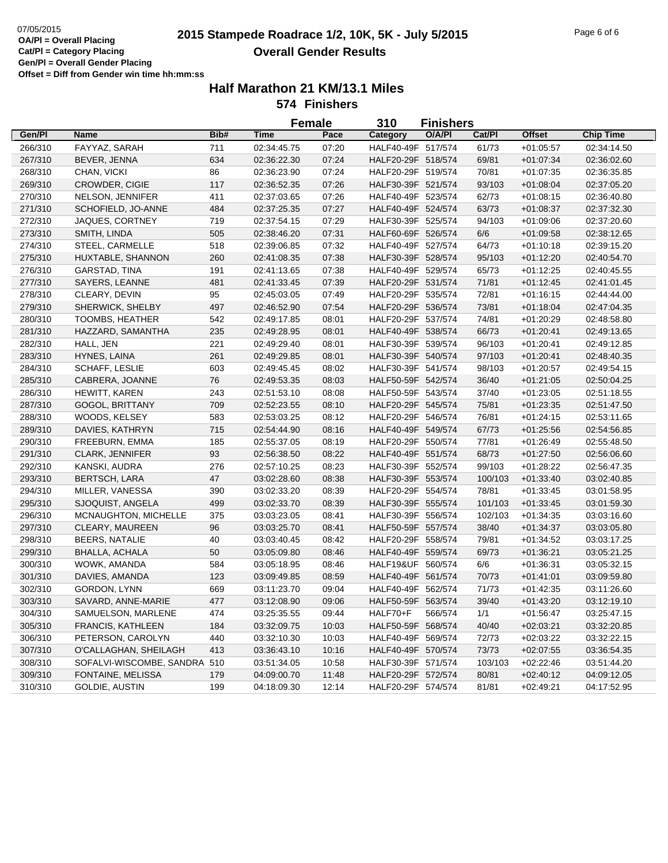# **2015 Stampede Roadrace 1/2, 10K, 5K - July 5/2015** 07/05/2015 Page 6 of 6 **Overall Gender Results**

|         |                              |      | <b>Female</b> |       | 310<br><b>Finishers</b> |         |         |               |                  |
|---------|------------------------------|------|---------------|-------|-------------------------|---------|---------|---------------|------------------|
| Gen/Pl  | Name                         | Bib# | <b>Time</b>   | Pace  | Category                | O/A/PI  | Cat/PI  | <b>Offset</b> | <b>Chip Time</b> |
| 266/310 | FAYYAZ, SARAH                | 711  | 02:34:45.75   | 07:20 | HALF40-49F 517/574      |         | 61/73   | $+01:05:57$   | 02:34:14.50      |
| 267/310 | BEVER, JENNA                 | 634  | 02:36:22.30   | 07:24 | HALF20-29F 518/574      |         | 69/81   | $+01:07:34$   | 02:36:02.60      |
| 268/310 | CHAN, VICKI                  | 86   | 02:36:23.90   | 07:24 | HALF20-29F 519/574      |         | 70/81   | $+01:07:35$   | 02:36:35.85      |
| 269/310 | CROWDER, CIGIE               | 117  | 02:36:52.35   | 07:26 | HALF30-39F 521/574      |         | 93/103  | $+01:08:04$   | 02:37:05.20      |
| 270/310 | NELSON, JENNIFER             | 411  | 02:37:03.65   | 07:26 | HALF40-49F 523/574      |         | 62/73   | $+01:08:15$   | 02:36:40.80      |
| 271/310 | SCHOFIELD, JO-ANNE           | 484  | 02:37:25.35   | 07:27 | HALF40-49F 524/574      |         | 63/73   | $+01:08:37$   | 02:37:32.30      |
| 272/310 | JAQUES, CORTNEY              | 719  | 02:37:54.15   | 07:29 | HALF30-39F 525/574      |         | 94/103  | $+01:09:06$   | 02:37:20.60      |
| 273/310 | SMITH, LINDA                 | 505  | 02:38:46.20   | 07:31 | HALF60-69F 526/574      |         | 6/6     | $+01:09:58$   | 02:38:12.65      |
| 274/310 | STEEL, CARMELLE              | 518  | 02:39:06.85   | 07:32 | HALF40-49F 527/574      |         | 64/73   | $+01:10:18$   | 02:39:15.20      |
| 275/310 | HUXTABLE, SHANNON            | 260  | 02:41:08.35   | 07:38 | HALF30-39F 528/574      |         | 95/103  | $+01:12:20$   | 02:40:54.70      |
| 276/310 | <b>GARSTAD, TINA</b>         | 191  | 02:41:13.65   | 07:38 | HALF40-49F 529/574      |         | 65/73   | $+01:12:25$   | 02:40:45.55      |
| 277/310 | SAYERS, LEANNE               | 481  | 02:41:33.45   | 07:39 | HALF20-29F 531/574      |         | 71/81   | $+01:12:45$   | 02:41:01.45      |
| 278/310 | CLEARY, DEVIN                | 95   | 02:45:03.05   | 07:49 | HALF20-29F 535/574      |         | 72/81   | $+01:16:15$   | 02:44:44.00      |
| 279/310 | SHERWICK, SHELBY             | 497  | 02:46:52.90   | 07:54 | HALF20-29F 536/574      |         | 73/81   | $+01:18:04$   | 02:47:04.35      |
| 280/310 | TOOMBS, HEATHER              | 542  | 02:49:17.85   | 08:01 | HALF20-29F 537/574      |         | 74/81   | $+01:20:29$   | 02:48:58.80      |
| 281/310 | HAZZARD, SAMANTHA            | 235  | 02:49:28.95   | 08:01 | HALF40-49F 538/574      |         | 66/73   | $+01:20:41$   | 02:49:13.65      |
| 282/310 | HALL, JEN                    | 221  | 02:49:29.40   | 08:01 | HALF30-39F 539/574      |         | 96/103  | $+01:20:41$   | 02:49:12.85      |
| 283/310 | HYNES, LAINA                 | 261  | 02:49:29.85   | 08:01 | HALF30-39F 540/574      |         | 97/103  | $+01:20:41$   | 02:48:40.35      |
| 284/310 | SCHAFF, LESLIE               | 603  | 02:49:45.45   | 08:02 | HALF30-39F 541/574      |         | 98/103  | $+01:20:57$   | 02:49:54.15      |
| 285/310 | CABRERA, JOANNE              | 76   | 02:49:53.35   | 08:03 | HALF50-59F 542/574      |         | 36/40   | $+01:21:05$   | 02:50:04.25      |
| 286/310 | HEWITT, KAREN                | 243  | 02:51:53.10   | 08:08 | HALF50-59F 543/574      |         | 37/40   | $+01:23:05$   | 02:51:18.55      |
| 287/310 | GOGOL, BRITTANY              | 709  | 02:52:23.55   | 08:10 | HALF20-29F 545/574      |         | 75/81   | $+01:23:35$   | 02:51:47.50      |
| 288/310 | WOODS, KELSEY                | 583  | 02:53:03.25   | 08:12 | HALF20-29F 546/574      |         | 76/81   | $+01:24:15$   | 02:53:11.65      |
| 289/310 | DAVIES, KATHRYN              | 715  | 02:54:44.90   | 08:16 | HALF40-49F 549/574      |         | 67/73   | $+01:25:56$   | 02:54:56.85      |
| 290/310 | FREEBURN, EMMA               | 185  | 02:55:37.05   | 08:19 | HALF20-29F 550/574      |         | 77/81   | $+01:26:49$   | 02:55:48.50      |
| 291/310 | <b>CLARK, JENNIFER</b>       | 93   | 02:56:38.50   | 08:22 | HALF40-49F 551/574      |         | 68/73   | $+01:27:50$   | 02:56:06.60      |
| 292/310 | KANSKI, AUDRA                | 276  | 02:57:10.25   | 08:23 | HALF30-39F 552/574      |         | 99/103  | $+01:28:22$   | 02:56:47.35      |
| 293/310 | <b>BERTSCH, LARA</b>         | 47   | 03:02:28.60   | 08:38 | HALF30-39F 553/574      |         | 100/103 | $+01:33:40$   | 03:02:40.85      |
| 294/310 | MILLER, VANESSA              | 390  | 03:02:33.20   | 08:39 | HALF20-29F 554/574      |         | 78/81   | $+01:33:45$   | 03:01:58.95      |
| 295/310 | SJOQUIST, ANGELA             | 499  | 03:02:33.70   | 08:39 | HALF30-39F 555/574      |         | 101/103 | $+01:33:45$   | 03:01:59.30      |
| 296/310 | MCNAUGHTON, MICHELLE         | 375  | 03:03:23.05   | 08:41 | HALF30-39F 556/574      |         | 102/103 | $+01:34:35$   | 03:03:16.60      |
| 297/310 | CLEARY, MAUREEN              | 96   | 03:03:25.70   | 08:41 | HALF50-59F 557/574      |         | 38/40   | $+01:34:37$   | 03:03:05.80      |
| 298/310 | <b>BEERS, NATALIE</b>        | 40   | 03:03:40.45   | 08:42 | HALF20-29F 558/574      |         | 79/81   | $+01:34:52$   | 03:03:17.25      |
| 299/310 | <b>BHALLA, ACHALA</b>        | 50   | 03:05:09.80   | 08:46 | HALF40-49F 559/574      |         | 69/73   | $+01:36:21$   | 03:05:21.25      |
| 300/310 | WOWK, AMANDA                 | 584  | 03:05:18.95   | 08:46 | HALF19&UF 560/574       |         | 6/6     | $+01:36:31$   | 03:05:32.15      |
| 301/310 | DAVIES, AMANDA               | 123  | 03:09:49.85   | 08:59 | HALF40-49F 561/574      |         | 70/73   | $+01:41:01$   | 03:09:59.80      |
| 302/310 | GORDON, LYNN                 | 669  | 03:11:23.70   | 09:04 | HALF40-49F 562/574      |         | 71/73   | $+01:42:35$   | 03:11:26.60      |
| 303/310 | SAVARD, ANNE-MARIE           | 477  | 03:12:08.90   | 09:06 | HALF50-59F 563/574      |         | 39/40   | $+01:43:20$   | 03:12:19.10      |
| 304/310 | SAMUELSON, MARLENE           | 474  | 03:25:35.55   | 09:44 | HALF70+F                | 566/574 | 1/1     | $+01:56:47$   | 03:25:47.15      |
| 305/310 | <b>FRANCIS, KATHLEEN</b>     | 184  | 03:32:09.75   | 10:03 | HALF50-59F 568/574      |         | 40/40   | $+02:03:21$   | 03:32:20.85      |
| 306/310 | PETERSON, CAROLYN            | 440  | 03:32:10.30   | 10:03 | HALF40-49F 569/574      |         | 72/73   | $+02:03:22$   | 03:32:22.15      |
| 307/310 | O'CALLAGHAN, SHEILAGH        | 413  | 03:36:43.10   | 10:16 | HALF40-49F 570/574      |         | 73/73   | $+02:07:55$   | 03:36:54.35      |
| 308/310 | SOFALVI-WISCOMBE, SANDRA 510 |      | 03:51:34.05   | 10:58 | HALF30-39F 571/574      |         | 103/103 | $+02:22:46$   | 03:51:44.20      |
| 309/310 | FONTAINE, MELISSA            | 179  | 04:09:00.70   | 11:48 | HALF20-29F 572/574      |         | 80/81   | $+02:40:12$   | 04:09:12.05      |
| 310/310 | GOLDIE, AUSTIN               | 199  | 04:18:09.30   | 12:14 | HALF20-29F 574/574      |         | 81/81   | $+02:49:21$   | 04:17:52.95      |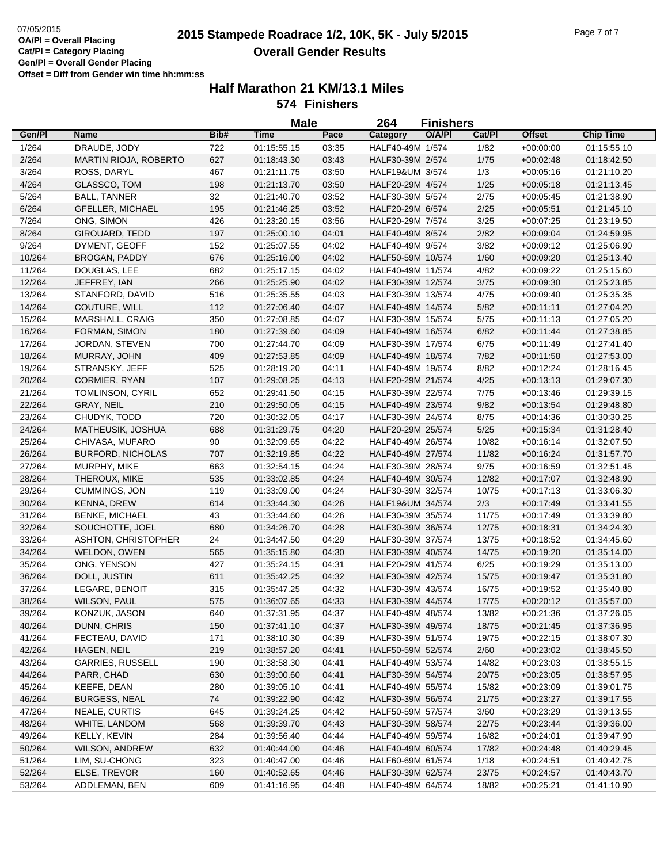# **2015 Stampede Roadrace 1/2, 10K, 5K - July 5/2015** 07/05/2015 Page 7 of 7 **Overall Gender Results**

|        |                                              |            | <b>Male</b> |                | 264                                    | <b>Finishers</b> |        |               |                  |
|--------|----------------------------------------------|------------|-------------|----------------|----------------------------------------|------------------|--------|---------------|------------------|
| Gen/Pl | <b>Name</b>                                  | Bib#       | <b>Time</b> | Pace           | Category                               | O/A/PI           | Cat/Pl | <b>Offset</b> | <b>Chip Time</b> |
| 1/264  | DRAUDE, JODY                                 | 722        | 01:15:55.15 | 03:35          | HALF40-49M 1/574                       |                  | 1/82   | $+00:00:00$   | 01:15:55.10      |
| 2/264  | <b>MARTIN RIOJA, ROBERTO</b>                 | 627        | 01:18:43.30 | 03:43          | HALF30-39M 2/574                       |                  | 1/75   | $+00:02:48$   | 01:18:42.50      |
| 3/264  | ROSS, DARYL                                  | 467        | 01:21:11.75 | 03:50          | HALF19&UM 3/574                        |                  | 1/3    | $+00:05:16$   | 01:21:10.20      |
| 4/264  | GLASSCO, TOM                                 | 198        | 01:21:13.70 | 03:50          | HALF20-29M 4/574                       |                  | 1/25   | $+00:05:18$   | 01:21:13.45      |
| 5/264  | <b>BALL, TANNER</b>                          | 32         | 01:21:40.70 | 03:52          | HALF30-39M 5/574                       |                  | 2/75   | $+00:05:45$   | 01:21:38.90      |
| 6/264  | <b>GFELLER, MICHAEL</b>                      | 195        | 01:21:46.25 | 03:52          | HALF20-29M 6/574                       |                  | 2/25   | $+00:05:51$   | 01:21:45.10      |
| 7/264  | ONG, SIMON                                   | 426        | 01:23:20.15 | 03:56          | HALF20-29M 7/574                       |                  | 3/25   | $+00:07:25$   | 01:23:19.50      |
| 8/264  | GIROUARD, TEDD                               | 197        | 01:25:00.10 | 04:01          | HALF40-49M 8/574                       |                  | 2/82   | $+00.09.04$   | 01:24:59.95      |
| 9/264  | DYMENT, GEOFF                                | 152        | 01:25:07.55 | 04:02          | HALF40-49M 9/574                       |                  | 3/82   | $+00:09:12$   | 01:25:06.90      |
| 10/264 | <b>BROGAN, PADDY</b>                         | 676        | 01:25:16.00 | 04:02          | HALF50-59M 10/574                      |                  | 1/60   | $+00:09:20$   | 01:25:13.40      |
| 11/264 | DOUGLAS, LEE                                 | 682        | 01:25:17.15 | 04:02          | HALF40-49M 11/574                      |                  | 4/82   | $+00:09:22$   | 01:25:15.60      |
| 12/264 | JEFFREY, IAN                                 | 266        | 01:25:25.90 | 04:02          | HALF30-39M 12/574                      |                  | 3/75   | $+00:09:30$   | 01:25:23.85      |
| 13/264 | STANFORD, DAVID                              | 516        | 01:25:35.55 | 04:03          | HALF30-39M 13/574                      |                  | 4/75   | $+00:09:40$   | 01:25:35.35      |
| 14/264 | COUTURE, WILL                                | 112        | 01:27:06.40 | 04:07          | HALF40-49M 14/574                      |                  | 5/82   | $+00:11:11$   | 01:27:04.20      |
| 15/264 | MARSHALL, CRAIG                              | 350        | 01:27:08.85 | 04:07          | HALF30-39M 15/574                      |                  | 5/75   | $+00:11:13$   | 01:27:05.20      |
| 16/264 | FORMAN, SIMON                                | 180        | 01:27:39.60 | 04:09          | HALF40-49M 16/574                      |                  | 6/82   | $+00:11:44$   | 01:27:38.85      |
| 17/264 | JORDAN, STEVEN                               | 700        | 01:27:44.70 | 04:09          | HALF30-39M 17/574                      |                  | 6/75   | $+00:11:49$   | 01:27:41.40      |
| 18/264 | MURRAY, JOHN                                 | 409        | 01:27:53.85 | 04:09          | HALF40-49M 18/574                      |                  | 7/82   | $+00:11:58$   | 01:27:53.00      |
| 19/264 | STRANSKY, JEFF                               | 525        | 01:28:19.20 | 04:11          | HALF40-49M 19/574                      |                  | 8/82   | $+00:12:24$   | 01:28:16.45      |
| 20/264 | CORMIER, RYAN                                | 107        | 01:29:08.25 | 04:13          | HALF20-29M 21/574                      |                  | 4/25   | $+00:13:13$   | 01:29:07.30      |
| 21/264 | TOMLINSON, CYRIL                             | 652        | 01:29:41.50 | 04:15          | HALF30-39M 22/574                      |                  | 7/75   | $+00:13:46$   | 01:29:39.15      |
| 22/264 | GRAY, NEIL                                   | 210        | 01:29:50.05 | 04:15          | HALF40-49M 23/574                      |                  | 9/82   | $+00:13:54$   | 01:29:48.80      |
| 23/264 | CHUDYK, TODD                                 | 720        | 01:30:32.05 | 04:17          | HALF30-39M 24/574                      |                  | 8/75   | $+00:14:36$   | 01:30:30.25      |
| 24/264 | MATHEUSIK, JOSHUA                            | 688        | 01:31:29.75 | 04:20          | HALF20-29M 25/574                      |                  | 5/25   | $+00:15:34$   | 01:31:28.40      |
| 25/264 | CHIVASA, MUFARO                              | 90         | 01:32:09.65 | 04:22          | HALF40-49M 26/574                      |                  | 10/82  | $+00:16:14$   | 01:32:07.50      |
| 26/264 | <b>BURFORD, NICHOLAS</b>                     | 707        | 01:32:19.85 | 04:22          | HALF40-49M 27/574                      |                  | 11/82  | $+00:16:24$   | 01:31:57.70      |
| 27/264 | MURPHY, MIKE                                 | 663        | 01:32:54.15 | 04:24          | HALF30-39M 28/574                      |                  | 9/75   | $+00:16:59$   | 01:32:51.45      |
| 28/264 | THEROUX, MIKE                                | 535        | 01:33:02.85 | 04:24          | HALF40-49M 30/574                      |                  | 12/82  | $+00:17:07$   | 01:32:48.90      |
| 29/264 | CUMMINGS, JON                                | 119        | 01:33:09.00 | 04:24          | HALF30-39M 32/574                      |                  | 10/75  | $+00:17:13$   | 01:33:06.30      |
| 30/264 | <b>KENNA, DREW</b>                           | 614        | 01:33:44.30 | 04:26          | HALF19&UM 34/574                       |                  | 2/3    | $+00:17:49$   | 01:33:41.55      |
| 31/264 | <b>BENKE, MICHAEL</b>                        | 43         | 01:33:44.60 | 04:26          | HALF30-39M 35/574                      |                  | 11/75  | $+00:17:49$   | 01:33:39.80      |
| 32/264 | SOUCHOTTE, JOEL                              | 680        | 01:34:26.70 | 04:28          | HALF30-39M 36/574                      |                  | 12/75  | $+00:18:31$   | 01:34:24.30      |
| 33/264 | ASHTON, CHRISTOPHER                          | 24         | 01:34:47.50 | 04:29          | HALF30-39M 37/574                      |                  | 13/75  | $+00:18:52$   | 01:34:45.60      |
| 34/264 | WELDON, OWEN                                 | 565        | 01:35:15.80 | 04:30          | HALF30-39M 40/574                      |                  | 14/75  | $+00:19:20$   | 01:35:14.00      |
| 35/264 | ONG, YENSON                                  | 427        | 01:35:24.15 | 04:31          | HALF20-29M 41/574                      |                  | 6/25   | $+00:19:29$   | 01:35:13.00      |
| 36/264 | DOLL, JUSTIN                                 | 611        | 01:35:42.25 | 04:32          | HALF30-39M 42/574                      |                  | 15/75  | $+00:19:47$   | 01:35:31.80      |
| 37/264 | LEGARE, BENOIT                               | 315        | 01:35:47.25 | 04:32          | HALF30-39M 43/574                      |                  | 16/75  | $+00:19:52$   | 01:35:40.80      |
| 38/264 | <b>WILSON, PAUL</b>                          | 575        | 01:36:07.65 | 04:33          | HALF30-39M 44/574                      |                  | 17/75  | $+00:20:12$   | 01:35:57.00      |
| 39/264 | KONZUK, JASON                                | 640        | 01:37:31.95 | 04:37          | HALF40-49M 48/574                      |                  | 13/82  | $+00:21:36$   | 01:37:26.05      |
| 40/264 | DUNN, CHRIS                                  | 150        | 01:37:41.10 | 04:37          | HALF30-39M 49/574                      |                  | 18/75  | $+00:21:45$   | 01:37:36.95      |
| 41/264 | FECTEAU, DAVID                               | 171        | 01:38:10.30 | 04:39          | HALF30-39M 51/574                      |                  | 19/75  | $+00:22:15$   | 01:38:07.30      |
| 42/264 | HAGEN, NEIL                                  | 219        | 01:38:57.20 | 04:41          | HALF50-59M 52/574                      |                  | 2/60   | $+00:23:02$   | 01:38:45.50      |
|        | <b>GARRIES, RUSSELL</b>                      |            |             |                |                                        |                  | 14/82  |               |                  |
| 43/264 | PARR, CHAD                                   | 190<br>630 | 01:38:58.30 | 04:41<br>04:41 | HALF40-49M 53/574<br>HALF30-39M 54/574 |                  | 20/75  | $+00:23:03$   | 01:38:55.15      |
| 44/264 |                                              |            | 01:39:00.60 |                |                                        |                  |        | $+00:23:05$   | 01:38:57.95      |
| 45/264 | KEEFE, DEAN                                  | 280        | 01:39:05.10 | 04:41          | HALF40-49M 55/574                      |                  | 15/82  | $+00:23:09$   | 01:39:01.75      |
| 46/264 | <b>BURGESS, NEAL</b><br><b>NEALE, CURTIS</b> | 74         | 01:39:22.90 | 04:42          | HALF30-39M 56/574                      |                  | 21/75  | $+00:23:27$   | 01:39:17.55      |
| 47/264 |                                              | 645        | 01:39:24.25 | 04:42          | HALF50-59M 57/574                      |                  | 3/60   | $+00:23:29$   | 01:39:13.55      |
| 48/264 | WHITE, LANDOM                                | 568        | 01:39:39.70 | 04:43          | HALF30-39M 58/574<br>HALF40-49M 59/574 |                  | 22/75  | $+00:23:44$   | 01:39:36.00      |
| 49/264 | KELLY, KEVIN                                 | 284        | 01:39:56.40 | 04:44          |                                        |                  | 16/82  | $+00:24:01$   | 01:39:47.90      |
| 50/264 | WILSON, ANDREW                               | 632        | 01:40:44.00 | 04:46          | HALF40-49M 60/574                      |                  | 17/82  | $+00:24:48$   | 01:40:29.45      |
| 51/264 | LIM, SU-CHONG                                | 323        | 01:40:47.00 | 04:46          | HALF60-69M 61/574                      |                  | 1/18   | $+00:24:51$   | 01:40:42.75      |
| 52/264 | ELSE, TREVOR                                 | 160        | 01:40:52.65 | 04:46          | HALF30-39M 62/574                      |                  | 23/75  | $+00:24:57$   | 01:40:43.70      |
| 53/264 | ADDLEMAN, BEN                                | 609        | 01:41:16.95 | 04:48          | HALF40-49M 64/574                      |                  | 18/82  | $+00:25:21$   | 01:41:10.90      |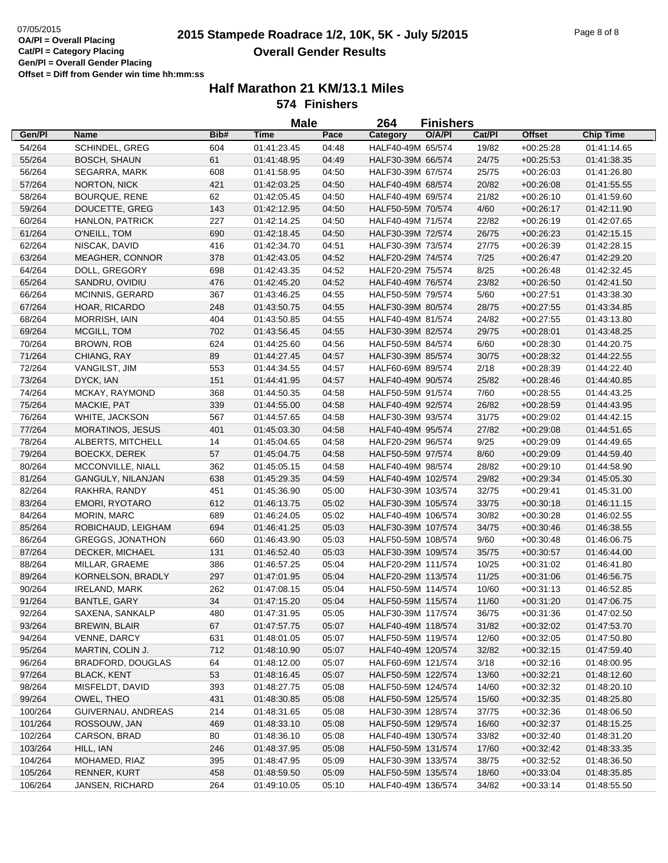# **2015 Stampede Roadrace 1/2, 10K, 5K - July 5/2015** 07/05/2015 Page 8 of 8 **Overall Gender Results**

|         |                         |      | <b>Male</b> |       | 264                | <b>Finishers</b> |        |               |                  |
|---------|-------------------------|------|-------------|-------|--------------------|------------------|--------|---------------|------------------|
| Gen/Pl  | <b>Name</b>             | Bib# | <b>Time</b> | Pace  | Category           | O/A/PI           | Cat/Pl | <b>Offset</b> | <b>Chip Time</b> |
| 54/264  | <b>SCHINDEL, GREG</b>   | 604  | 01:41:23.45 | 04:48 | HALF40-49M 65/574  |                  | 19/82  | $+00:25:28$   | 01:41:14.65      |
| 55/264  | <b>BOSCH, SHAUN</b>     | 61   | 01:41:48.95 | 04:49 | HALF30-39M 66/574  |                  | 24/75  | $+00:25:53$   | 01:41:38.35      |
| 56/264  | SEGARRA, MARK           | 608  | 01:41:58.95 | 04:50 | HALF30-39M 67/574  |                  | 25/75  | $+00:26:03$   | 01:41:26.80      |
| 57/264  | NORTON, NICK            | 421  | 01:42:03.25 | 04:50 | HALF40-49M 68/574  |                  | 20/82  | $+00:26:08$   | 01:41:55.55      |
| 58/264  | BOURQUE, RENE           | 62   | 01:42:05.45 | 04:50 | HALF40-49M 69/574  |                  | 21/82  | $+00:26:10$   | 01:41:59.60      |
| 59/264  | DOUCETTE, GREG          | 143  | 01:42:12.95 | 04:50 | HALF50-59M 70/574  |                  | 4/60   | $+00:26:17$   | 01:42:11.90      |
| 60/264  | HANLON, PATRICK         | 227  | 01:42:14.25 | 04:50 | HALF40-49M 71/574  |                  | 22/82  | $+00:26:19$   | 01:42:07.65      |
| 61/264  | O'NEILL, TOM            | 690  | 01:42:18.45 | 04:50 | HALF30-39M 72/574  |                  | 26/75  | $+00:26:23$   | 01:42:15.15      |
| 62/264  | NISCAK, DAVID           | 416  | 01:42:34.70 | 04:51 | HALF30-39M 73/574  |                  | 27/75  | $+00:26:39$   | 01:42:28.15      |
| 63/264  | MEAGHER, CONNOR         | 378  | 01:42:43.05 | 04:52 | HALF20-29M 74/574  |                  | 7/25   | $+00:26:47$   | 01:42:29.20      |
| 64/264  | DOLL, GREGORY           | 698  | 01:42:43.35 | 04:52 | HALF20-29M 75/574  |                  | 8/25   | $+00:26:48$   | 01:42:32.45      |
| 65/264  | SANDRU, OVIDIU          | 476  | 01:42:45.20 | 04:52 | HALF40-49M 76/574  |                  | 23/82  | $+00:26:50$   | 01:42:41.50      |
| 66/264  | MCINNIS, GERARD         | 367  | 01:43:46.25 | 04:55 | HALF50-59M 79/574  |                  | 5/60   | $+00:27:51$   | 01:43:38.30      |
| 67/264  | HOAR, RICARDO           | 248  | 01:43:50.75 | 04:55 | HALF30-39M 80/574  |                  | 28/75  | $+00:27:55$   | 01:43:34.85      |
| 68/264  | <b>MORRISH, IAIN</b>    | 404  | 01:43:50.85 | 04:55 | HALF40-49M 81/574  |                  | 24/82  | $+00:27:55$   | 01:43:13.80      |
| 69/264  | MCGILL, TOM             | 702  | 01:43:56.45 | 04:55 | HALF30-39M 82/574  |                  | 29/75  | $+00:28:01$   | 01:43:48.25      |
| 70/264  | BROWN, ROB              | 624  | 01:44:25.60 | 04:56 | HALF50-59M 84/574  |                  | 6/60   | $+00:28:30$   | 01:44:20.75      |
| 71/264  | CHIANG, RAY             | 89   | 01:44:27.45 | 04:57 | HALF30-39M 85/574  |                  | 30/75  | $+00:28:32$   | 01:44:22.55      |
| 72/264  | VANGILST, JIM           | 553  | 01:44:34.55 | 04:57 | HALF60-69M 89/574  |                  | 2/18   | $+00:28:39$   | 01:44:22.40      |
| 73/264  | DYCK, IAN               | 151  | 01:44:41.95 | 04:57 | HALF40-49M 90/574  |                  | 25/82  | $+00:28:46$   | 01:44:40.85      |
| 74/264  | MCKAY, RAYMOND          | 368  | 01:44:50.35 | 04:58 | HALF50-59M 91/574  |                  | 7/60   | $+00:28:55$   | 01:44:43.25      |
| 75/264  | MACKIE, PAT             | 339  | 01:44:55.00 | 04:58 | HALF40-49M 92/574  |                  | 26/82  | $+00:28:59$   | 01:44:43.95      |
| 76/264  | WHITE, JACKSON          | 567  | 01:44:57.65 | 04:58 | HALF30-39M 93/574  |                  | 31/75  | $+00:29:02$   | 01:44:42.15      |
| 77/264  | <b>MORATINOS, JESUS</b> | 401  | 01:45:03.30 | 04:58 | HALF40-49M 95/574  |                  | 27/82  | $+00:29:08$   | 01:44:51.65      |
| 78/264  | ALBERTS, MITCHELL       | 14   | 01:45:04.65 | 04:58 | HALF20-29M 96/574  |                  | 9/25   | $+00:29:09$   | 01:44:49.65      |
| 79/264  | <b>BOECKX, DEREK</b>    | 57   | 01:45:04.75 | 04:58 | HALF50-59M 97/574  |                  | 8/60   | $+00:29:09$   | 01:44:59.40      |
| 80/264  | MCCONVILLE, NIALL       | 362  | 01:45:05.15 | 04:58 | HALF40-49M 98/574  |                  | 28/82  | $+00:29:10$   | 01:44:58.90      |
| 81/264  | GANGULY, NILANJAN       | 638  | 01:45:29.35 | 04:59 | HALF40-49M 102/574 |                  | 29/82  | $+00:29:34$   | 01:45:05.30      |
| 82/264  | RAKHRA, RANDY           | 451  | 01:45:36.90 | 05:00 | HALF30-39M 103/574 |                  | 32/75  | $+00:29:41$   | 01:45:31.00      |
| 83/264  | <b>EMORI, RYOTARO</b>   | 612  | 01:46:13.75 | 05:02 | HALF30-39M 105/574 |                  | 33/75  | $+00:30:18$   | 01:46:11.15      |
| 84/264  | MORIN, MARC             | 689  | 01:46:24.05 | 05:02 | HALF40-49M 106/574 |                  | 30/82  | $+00:30:28$   | 01:46:02.55      |
| 85/264  | ROBICHAUD, LEIGHAM      | 694  | 01:46:41.25 | 05:03 | HALF30-39M 107/574 |                  | 34/75  | $+00:30:46$   | 01:46:38.55      |
| 86/264  | <b>GREGGS, JONATHON</b> | 660  | 01:46:43.90 | 05:03 | HALF50-59M 108/574 |                  | 9/60   | $+00:30:48$   | 01:46:06.75      |
| 87/264  | DECKER, MICHAEL         | 131  | 01:46:52.40 | 05:03 | HALF30-39M 109/574 |                  | 35/75  | $+00:30:57$   | 01:46:44.00      |
| 88/264  | MILLAR, GRAEME          | 386  | 01:46:57.25 | 05:04 | HALF20-29M 111/574 |                  | 10/25  | $+00:31:02$   | 01:46:41.80      |
| 89/264  | KORNELSON, BRADLY       | 297  | 01:47:01.95 | 05:04 | HALF20-29M 113/574 |                  | 11/25  | $+00:31:06$   | 01:46:56.75      |
| 90/264  | <b>IRELAND, MARK</b>    | 262  | 01:47:08.15 | 05:04 | HALF50-59M 114/574 |                  | 10/60  | $+00:31:13$   | 01:46:52.85      |
| 91/264  | <b>BANTLE, GARY</b>     | 34   | 01:47:15.20 | 05:04 | HALF50-59M 115/574 |                  | 11/60  | $+00:31:20$   | 01:47:06.75      |
| 92/264  | SAXENA, SANKALP         | 480  | 01:47:31.95 | 05:05 | HALF30-39M 117/574 |                  | 36/75  | $+00:31:36$   | 01:47:02.50      |
| 93/264  | <b>BREWIN, BLAIR</b>    | 67   | 01:47:57.75 | 05:07 | HALF40-49M 118/574 |                  | 31/82  | $+00:32:02$   | 01:47:53.70      |
| 94/264  | VENNE, DARCY            | 631  | 01:48:01.05 | 05:07 | HALF50-59M 119/574 |                  | 12/60  | $+00:32:05$   | 01:47:50.80      |
| 95/264  | MARTIN, COLIN J.        | 712  | 01:48:10.90 | 05:07 | HALF40-49M 120/574 |                  | 32/82  | $+00:32:15$   | 01:47:59.40      |
| 96/264  | BRADFORD, DOUGLAS       | 64   | 01:48:12.00 | 05:07 | HALF60-69M 121/574 |                  | 3/18   | $+00:32:16$   | 01:48:00.95      |
| 97/264  | <b>BLACK, KENT</b>      | 53   | 01:48:16.45 | 05:07 | HALF50-59M 122/574 |                  | 13/60  | $+00:32:21$   | 01:48:12.60      |
| 98/264  | MISFELDT, DAVID         | 393  | 01:48:27.75 | 05:08 | HALF50-59M 124/574 |                  | 14/60  | $+00:32:32$   | 01:48:20.10      |
| 99/264  | OWEL, THEO              | 431  | 01:48:30.85 | 05:08 | HALF50-59M 125/574 |                  | 15/60  | $+00:32:35$   | 01:48:25.80      |
| 100/264 | GUIVERNAU, ANDREAS      | 214  | 01:48:31.65 | 05:08 | HALF30-39M 128/574 |                  | 37/75  | $+00:32:36$   | 01:48:06.50      |
| 101/264 | ROSSOUW, JAN            | 469  | 01:48:33.10 | 05:08 | HALF50-59M 129/574 |                  | 16/60  | $+00:32:37$   | 01:48:15.25      |
| 102/264 | CARSON, BRAD            | 80   | 01:48:36.10 | 05:08 | HALF40-49M 130/574 |                  | 33/82  | $+00:32:40$   | 01:48:31.20      |
| 103/264 | HILL, IAN               | 246  | 01:48:37.95 | 05:08 | HALF50-59M 131/574 |                  | 17/60  | $+00:32:42$   | 01:48:33.35      |
| 104/264 | MOHAMED, RIAZ           | 395  | 01:48:47.95 | 05:09 | HALF30-39M 133/574 |                  | 38/75  | $+00:32:52$   | 01:48:36.50      |
| 105/264 | RENNER, KURT            | 458  | 01:48:59.50 | 05:09 | HALF50-59M 135/574 |                  | 18/60  | $+00:33:04$   | 01:48:35.85      |
| 106/264 | JANSEN, RICHARD         | 264  | 01:49:10.05 | 05:10 | HALF40-49M 136/574 |                  | 34/82  | $+00:33:14$   | 01:48:55.50      |
|         |                         |      |             |       |                    |                  |        |               |                  |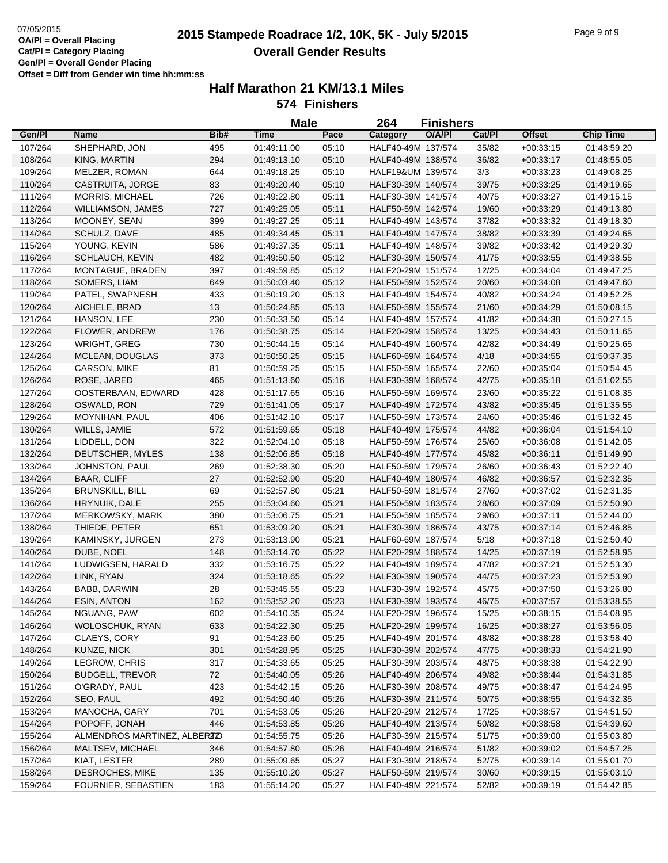# **2015 Stampede Roadrace 1/2, 10K, 5K - July 5/2015** 07/05/2015 Page 9 of 9 **Overall Gender Results**

|         |                              |      | <b>Male</b> |       | 264                | <b>Finishers</b> |        |               |                  |
|---------|------------------------------|------|-------------|-------|--------------------|------------------|--------|---------------|------------------|
| Gen/Pl  | <b>Name</b>                  | Bib# | <b>Time</b> | Pace  | Category           | O/A/PI           | Cat/Pl | <b>Offset</b> | <b>Chip Time</b> |
| 107/264 | SHEPHARD, JON                | 495  | 01:49:11.00 | 05:10 | HALF40-49M 137/574 |                  | 35/82  | $+00:33:15$   | 01:48:59.20      |
| 108/264 | KING, MARTIN                 | 294  | 01:49:13.10 | 05:10 | HALF40-49M 138/574 |                  | 36/82  | $+00:33:17$   | 01:48:55.05      |
| 109/264 | MELZER, ROMAN                | 644  | 01:49:18.25 | 05:10 | HALF19&UM 139/574  |                  | 3/3    | $+00:33:23$   | 01:49:08.25      |
| 110/264 | CASTRUITA, JORGE             | 83   | 01:49:20.40 | 05:10 | HALF30-39M 140/574 |                  | 39/75  | $+00:33:25$   | 01:49:19.65      |
| 111/264 | <b>MORRIS, MICHAEL</b>       | 726  | 01:49:22.80 | 05:11 | HALF30-39M 141/574 |                  | 40/75  | $+00:33:27$   | 01:49:15.15      |
| 112/264 | WILLIAMSON, JAMES            | 727  | 01:49:25.05 | 05:11 | HALF50-59M 142/574 |                  | 19/60  | $+00:33:29$   | 01:49:13.80      |
| 113/264 | MOONEY, SEAN                 | 399  | 01:49:27.25 | 05:11 | HALF40-49M 143/574 |                  | 37/82  | $+00:33:32$   | 01:49:18.30      |
| 114/264 | SCHULZ, DAVE                 | 485  | 01:49:34.45 | 05:11 | HALF40-49M 147/574 |                  | 38/82  | $+00:33:39$   | 01:49:24.65      |
| 115/264 | YOUNG, KEVIN                 | 586  | 01:49:37.35 | 05:11 | HALF40-49M 148/574 |                  | 39/82  | $+00:33:42$   | 01:49:29.30      |
| 116/264 | SCHLAUCH, KEVIN              | 482  | 01:49:50.50 | 05:12 | HALF30-39M 150/574 |                  | 41/75  | $+00:33:55$   | 01:49:38.55      |
| 117/264 | MONTAGUE, BRADEN             | 397  | 01:49:59.85 | 05:12 | HALF20-29M 151/574 |                  | 12/25  | $+00:34:04$   | 01:49:47.25      |
| 118/264 | SOMERS, LIAM                 | 649  | 01:50:03.40 | 05:12 | HALF50-59M 152/574 |                  | 20/60  | $+00.34:08$   | 01:49:47.60      |
| 119/264 | PATEL, SWAPNESH              | 433  | 01:50:19.20 | 05:13 | HALF40-49M 154/574 |                  | 40/82  | $+00:34:24$   | 01:49:52.25      |
| 120/264 | AICHELE, BRAD                | 13   | 01:50:24.85 | 05:13 | HALF50-59M 155/574 |                  | 21/60  | $+00:34:29$   | 01:50:08.15      |
| 121/264 | HANSON, LEE                  | 230  | 01:50:33.50 | 05:14 | HALF40-49M 157/574 |                  | 41/82  | $+00:34:38$   | 01:50:27.15      |
| 122/264 | FLOWER, ANDREW               | 176  | 01:50:38.75 | 05:14 | HALF20-29M 158/574 |                  | 13/25  | $+00:34:43$   | 01:50:11.65      |
| 123/264 | <b>WRIGHT, GREG</b>          | 730  | 01:50:44.15 | 05:14 | HALF40-49M 160/574 |                  | 42/82  | $+00:34:49$   | 01:50:25.65      |
| 124/264 | <b>MCLEAN, DOUGLAS</b>       | 373  | 01:50:50.25 | 05:15 | HALF60-69M 164/574 |                  | 4/18   | $+00:34:55$   | 01:50:37.35      |
| 125/264 | CARSON, MIKE                 | 81   | 01:50:59.25 | 05:15 | HALF50-59M 165/574 |                  | 22/60  | $+00:35:04$   | 01:50:54.45      |
| 126/264 | ROSE, JARED                  | 465  | 01:51:13.60 | 05:16 | HALF30-39M 168/574 |                  | 42/75  | $+00:35:18$   | 01:51:02.55      |
| 127/264 | OOSTERBAAN, EDWARD           | 428  | 01:51:17.65 | 05:16 | HALF50-59M 169/574 |                  | 23/60  | $+00:35:22$   | 01:51:08.35      |
| 128/264 | OSWALD, RON                  | 729  | 01:51:41.05 | 05:17 | HALF40-49M 172/574 |                  | 43/82  | $+00:35:45$   | 01:51:35.55      |
| 129/264 | MOYNIHAN, PAUL               | 406  | 01:51:42.10 | 05:17 | HALF50-59M 173/574 |                  | 24/60  | $+00:35:46$   | 01:51:32.45      |
| 130/264 | WILLS, JAMIE                 | 572  | 01:51:59.65 | 05:18 | HALF40-49M 175/574 |                  | 44/82  | $+00:36:04$   | 01:51:54.10      |
| 131/264 | LIDDELL, DON                 | 322  | 01:52:04.10 | 05:18 | HALF50-59M 176/574 |                  | 25/60  | $+00:36:08$   | 01:51:42.05      |
| 132/264 | DEUTSCHER, MYLES             | 138  | 01:52:06.85 | 05:18 | HALF40-49M 177/574 |                  | 45/82  | $+00:36:11$   | 01:51:49.90      |
| 133/264 | JOHNSTON, PAUL               | 269  | 01:52:38.30 | 05:20 | HALF50-59M 179/574 |                  | 26/60  | $+00:36:43$   | 01:52:22.40      |
| 134/264 | <b>BAAR, CLIFF</b>           | 27   | 01:52:52.90 | 05:20 | HALF40-49M 180/574 |                  | 46/82  | $+00:36:57$   | 01:52:32.35      |
| 135/264 | <b>BRUNSKILL, BILL</b>       | 69   | 01:52:57.80 | 05:21 | HALF50-59M 181/574 |                  | 27/60  | $+00:37:02$   | 01:52:31.35      |
| 136/264 | HRYNUIK, DALE                | 255  | 01:53:04.60 | 05:21 | HALF50-59M 183/574 |                  | 28/60  | $+00:37:09$   | 01:52:50.90      |
| 137/264 | MERKOWSKY, MARK              | 380  | 01:53:06.75 | 05:21 | HALF50-59M 185/574 |                  | 29/60  | $+00:37:11$   | 01:52:44.00      |
| 138/264 | THIEDE, PETER                | 651  | 01:53:09.20 | 05:21 | HALF30-39M 186/574 |                  | 43/75  | $+00:37:14$   | 01:52:46.85      |
| 139/264 | KAMINSKY, JURGEN             | 273  | 01:53:13.90 | 05:21 | HALF60-69M 187/574 |                  | 5/18   | $+00:37:18$   | 01:52:50.40      |
| 140/264 | DUBE, NOEL                   | 148  | 01:53:14.70 | 05:22 | HALF20-29M 188/574 |                  | 14/25  | $+00:37:19$   | 01:52:58.95      |
| 141/264 | LUDWIGSEN, HARALD            | 332  | 01:53:16.75 | 05:22 | HALF40-49M 189/574 |                  | 47/82  | $+00:37:21$   | 01:52:53.30      |
| 142/264 | LINK, RYAN                   | 324  | 01:53:18.65 | 05:22 | HALF30-39M 190/574 |                  | 44/75  | $+00:37:23$   | 01:52:53.90      |
| 143/264 | BABB, DARWIN                 | 28   | 01:53:45.55 | 05:23 | HALF30-39M 192/574 |                  | 45/75  | $+00:37:50$   | 01:53:26.80      |
| 144/264 | <b>ESIN, ANTON</b>           | 162  | 01:53:52.20 | 05:23 | HALF30-39M 193/574 |                  | 46/75  | $+00:37:57$   | 01:53:38.55      |
| 145/264 | NGUANG, PAW                  | 602  | 01:54:10.35 | 05:24 | HALF20-29M 196/574 |                  | 15/25  | $+00:38:15$   | 01:54:08.95      |
| 146/264 | WOLOSCHUK, RYAN              | 633  | 01:54:22.30 | 05:25 | HALF20-29M 199/574 |                  | 16/25  | $+00:38:27$   | 01:53:56.05      |
| 147/264 | CLAEYS, CORY                 | 91   | 01:54:23.60 | 05:25 | HALF40-49M 201/574 |                  | 48/82  | $+00:38:28$   | 01:53:58.40      |
| 148/264 | KUNZE, NICK                  | 301  | 01:54:28.95 | 05:25 | HALF30-39M 202/574 |                  | 47/75  | $+00:38:33$   | 01:54:21.90      |
| 149/264 | LEGROW, CHRIS                | 317  | 01:54:33.65 | 05:25 | HALF30-39M 203/574 |                  | 48/75  | $+00:38:38$   | 01:54:22.90      |
| 150/264 | <b>BUDGELL, TREVOR</b>       | 72   | 01:54:40.05 | 05:26 | HALF40-49M 206/574 |                  | 49/82  | $+00:38:44$   | 01:54:31.85      |
| 151/264 | O'GRADY, PAUL                | 423  | 01:54:42.15 | 05:26 | HALF30-39M 208/574 |                  | 49/75  | $+00:38:47$   | 01:54:24.95      |
| 152/264 | SEO, PAUL                    | 492  | 01:54:50.40 | 05:26 | HALF30-39M 211/574 |                  | 50/75  | $+00:38:55$   | 01:54:32.35      |
| 153/264 | MANOCHA, GARY                | 701  | 01:54:53.05 | 05:26 | HALF20-29M 212/574 |                  | 17/25  | $+00:38:57$   | 01:54:51.50      |
| 154/264 | POPOFF, JONAH                | 446  | 01:54:53.85 | 05:26 | HALF40-49M 213/574 |                  | 50/82  | $+00:38:58$   | 01:54:39.60      |
| 155/264 | ALMENDROS MARTINEZ, ALBERZIO |      | 01:54:55.75 | 05:26 | HALF30-39M 215/574 |                  | 51/75  | $+00:39:00$   | 01:55:03.80      |
| 156/264 | MALTSEV, MICHAEL             | 346  | 01:54:57.80 | 05:26 | HALF40-49M 216/574 |                  | 51/82  | $+00:39:02$   | 01:54:57.25      |
| 157/264 | KIAT, LESTER                 | 289  | 01:55:09.65 | 05:27 | HALF30-39M 218/574 |                  | 52/75  | $+00:39:14$   | 01:55:01.70      |
| 158/264 | DESROCHES, MIKE              | 135  | 01:55:10.20 | 05:27 | HALF50-59M 219/574 |                  | 30/60  | $+00:39:15$   | 01:55:03.10      |
| 159/264 | FOURNIER, SEBASTIEN          | 183  | 01:55:14.20 | 05:27 | HALF40-49M 221/574 |                  | 52/82  | $+00:39:19$   | 01:54:42.85      |
|         |                              |      |             |       |                    |                  |        |               |                  |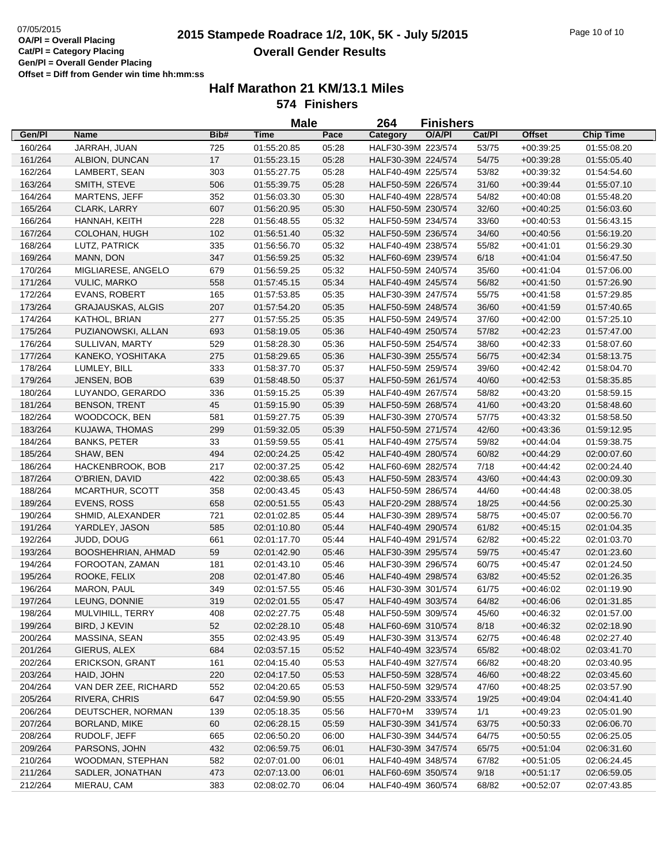# **2015 and COVERTY STARBURG 2015 Stampede Roadrace 1/2, 10K, 5K - July 5/2015** Page 10 of 10 **Overall Gender Results**

|         |                          |      | <b>Male</b> |       | 264                | <b>Finishers</b> |        |               |                  |
|---------|--------------------------|------|-------------|-------|--------------------|------------------|--------|---------------|------------------|
| Gen/Pl  | Name                     | Bib# | <b>Time</b> | Pace  | Category           | O/A/PI           | Cat/Pl | <b>Offset</b> | <b>Chip Time</b> |
| 160/264 | JARRAH, JUAN             | 725  | 01:55:20.85 | 05:28 | HALF30-39M 223/574 |                  | 53/75  | $+00:39:25$   | 01:55:08.20      |
| 161/264 | ALBION, DUNCAN           | 17   | 01:55:23.15 | 05:28 | HALF30-39M 224/574 |                  | 54/75  | $+00:39:28$   | 01:55:05.40      |
| 162/264 | LAMBERT, SEAN            | 303  | 01:55:27.75 | 05:28 | HALF40-49M 225/574 |                  | 53/82  | $+00:39:32$   | 01:54:54.60      |
| 163/264 | SMITH, STEVE             | 506  | 01:55:39.75 | 05:28 | HALF50-59M 226/574 |                  | 31/60  | $+00:39:44$   | 01:55:07.10      |
| 164/264 | MARTENS, JEFF            | 352  | 01:56:03.30 | 05:30 | HALF40-49M 228/574 |                  | 54/82  | $+00.40.08$   | 01:55:48.20      |
| 165/264 | CLARK, LARRY             | 607  | 01:56:20.95 | 05:30 | HALF50-59M 230/574 |                  | 32/60  | $+00:40:25$   | 01:56:03.60      |
| 166/264 | HANNAH, KEITH            | 228  | 01:56:48.55 | 05:32 | HALF50-59M 234/574 |                  | 33/60  | $+00:40:53$   | 01:56:43.15      |
| 167/264 | COLOHAN, HUGH            | 102  | 01:56:51.40 | 05:32 | HALF50-59M 236/574 |                  | 34/60  | $+00:40:56$   | 01:56:19.20      |
| 168/264 | LUTZ, PATRICK            | 335  | 01:56:56.70 | 05:32 | HALF40-49M 238/574 |                  | 55/82  | $+00:41:01$   | 01:56:29.30      |
| 169/264 | MANN, DON                | 347  | 01:56:59.25 | 05:32 | HALF60-69M 239/574 |                  | 6/18   | $+00.41:04$   | 01:56:47.50      |
| 170/264 | MIGLIARESE, ANGELO       | 679  | 01:56:59.25 | 05:32 | HALF50-59M 240/574 |                  | 35/60  | $+00:41:04$   | 01:57:06.00      |
| 171/264 | <b>VULIC, MARKO</b>      | 558  | 01:57:45.15 | 05:34 | HALF40-49M 245/574 |                  | 56/82  | $+00:41:50$   | 01:57:26.90      |
| 172/264 | <b>EVANS, ROBERT</b>     | 165  | 01:57:53.85 | 05:35 | HALF30-39M 247/574 |                  | 55/75  | $+00:41:58$   | 01:57:29.85      |
| 173/264 | <b>GRAJAUSKAS, ALGIS</b> | 207  | 01:57:54.20 | 05:35 | HALF50-59M 248/574 |                  | 36/60  | $+00.41:59$   | 01:57:40.65      |
| 174/264 | KATHOL, BRIAN            | 277  | 01:57:55.25 | 05:35 | HALF50-59M 249/574 |                  | 37/60  | $+00:42:00$   | 01:57:25.10      |
| 175/264 | PUZIANOWSKI, ALLAN       | 693  | 01:58:19.05 | 05:36 | HALF40-49M 250/574 |                  | 57/82  | $+00.42:23$   | 01:57:47.00      |
| 176/264 | SULLIVAN, MARTY          | 529  | 01:58:28.30 | 05:36 | HALF50-59M 254/574 |                  | 38/60  | $+00.42:33$   | 01:58:07.60      |
| 177/264 | KANEKO, YOSHITAKA        | 275  | 01:58:29.65 | 05:36 | HALF30-39M 255/574 |                  | 56/75  | $+00.42:34$   | 01:58:13.75      |
| 178/264 | LUMLEY, BILL             | 333  | 01:58:37.70 | 05:37 | HALF50-59M 259/574 |                  | 39/60  | $+00.42:42$   | 01:58:04.70      |
| 179/264 | JENSEN, BOB              | 639  | 01:58:48.50 | 05:37 | HALF50-59M 261/574 |                  | 40/60  | $+00.42:53$   | 01:58:35.85      |
| 180/264 | LUYANDO, GERARDO         | 336  | 01:59:15.25 | 05:39 | HALF40-49M 267/574 |                  | 58/82  | $+00:43:20$   | 01:58:59.15      |
| 181/264 | <b>BENSON, TRENT</b>     | 45   | 01:59:15.90 | 05:39 | HALF50-59M 268/574 |                  | 41/60  | $+00:43:20$   | 01:58:48.60      |
| 182/264 | WOODCOCK, BEN            | 581  | 01:59:27.75 | 05:39 | HALF30-39M 270/574 |                  | 57/75  | $+00.43:32$   | 01:58:58.50      |
| 183/264 | KUJAWA, THOMAS           | 299  | 01:59:32.05 | 05:39 | HALF50-59M 271/574 |                  | 42/60  | $+00.43.36$   | 01:59:12.95      |
| 184/264 | <b>BANKS, PETER</b>      | 33   | 01:59:59.55 | 05:41 | HALF40-49M 275/574 |                  | 59/82  | $+00:44:04$   | 01:59:38.75      |
| 185/264 | SHAW, BEN                | 494  | 02:00:24.25 | 05:42 | HALF40-49M 280/574 |                  | 60/82  | $+00:44:29$   | 02:00:07.60      |
| 186/264 | HACKENBROOK, BOB         | 217  | 02:00:37.25 | 05:42 | HALF60-69M 282/574 |                  | 7/18   | $+00.44:42$   | 02:00:24.40      |
| 187/264 | O'BRIEN, DAVID           | 422  | 02:00:38.65 | 05:43 | HALF50-59M 283/574 |                  | 43/60  | $+00:44:43$   | 02:00:09.30      |
| 188/264 | MCARTHUR, SCOTT          | 358  | 02:00:43.45 | 05:43 | HALF50-59M 286/574 |                  | 44/60  | $+00:44:48$   | 02:00:38.05      |
| 189/264 | EVENS, ROSS              | 658  | 02:00:51.55 | 05:43 | HALF20-29M 288/574 |                  | 18/25  | $+00.44:56$   | 02:00:25.30      |
| 190/264 | SHMID, ALEXANDER         | 721  | 02:01:02.85 | 05:44 | HALF30-39M 289/574 |                  | 58/75  | $+00:45:07$   | 02:00:56.70      |
| 191/264 | YARDLEY, JASON           | 585  | 02:01:10.80 | 05:44 | HALF40-49M 290/574 |                  | 61/82  | $+00:45:15$   | 02:01:04.35      |
| 192/264 | JUDD, DOUG               | 661  | 02:01:17.70 | 05:44 | HALF40-49M 291/574 |                  | 62/82  | $+00.45:22$   | 02:01:03.70      |
| 193/264 | BOOSHEHRIAN, AHMAD       | 59   | 02:01:42.90 | 05:46 | HALF30-39M 295/574 |                  | 59/75  | $+00.45:47$   | 02:01:23.60      |
| 194/264 | FOROOTAN, ZAMAN          | 181  | 02:01:43.10 | 05:46 | HALF30-39M 296/574 |                  | 60/75  | $+00.45:47$   | 02:01:24.50      |
| 195/264 | ROOKE, FELIX             | 208  | 02:01:47.80 | 05:46 | HALF40-49M 298/574 |                  | 63/82  | $+00.45.52$   | 02:01:26.35      |
| 196/264 | MARON, PAUL              | 349  | 02:01:57.55 | 05:46 | HALF30-39M 301/574 |                  | 61/75  | $+00.46.02$   | 02:01:19.90      |
| 197/264 | LEUNG, DONNIE            | 319  | 02:02:01.55 | 05:47 | HALF40-49M 303/574 |                  | 64/82  | $+00.46.06$   | 02:01:31.85      |
| 198/264 | MULVIHILL, TERRY         | 408  | 02:02:27.75 | 05:48 | HALF50-59M 309/574 |                  | 45/60  | $+00.46:32$   | 02:01:57.00      |
| 199/264 | BIRD, J KEVIN            | 52   | 02:02:28.10 | 05:48 | HALF60-69M 310/574 |                  | 8/18   | $+00:46:32$   | 02:02:18.90      |
| 200/264 | MASSINA, SEAN            | 355  | 02:02:43.95 | 05:49 | HALF30-39M 313/574 |                  | 62/75  | $+00.46:48$   | 02:02:27.40      |
| 201/264 | GIERUS, ALEX             | 684  | 02:03:57.15 | 05:52 | HALF40-49M 323/574 |                  | 65/82  | $+00:48:02$   | 02:03:41.70      |
| 202/264 | <b>ERICKSON, GRANT</b>   | 161  | 02:04:15.40 | 05:53 | HALF40-49M 327/574 |                  | 66/82  | $+00:48:20$   | 02:03:40.95      |
| 203/264 | HAID, JOHN               | 220  | 02:04:17.50 | 05:53 | HALF50-59M 328/574 |                  | 46/60  | $+00:48:22$   | 02:03:45.60      |
| 204/264 | VAN DER ZEE, RICHARD     | 552  | 02:04:20.65 | 05:53 | HALF50-59M 329/574 |                  | 47/60  | $+00:48:25$   | 02:03:57.90      |
| 205/264 | RIVERA, CHRIS            | 647  | 02:04:59.90 | 05:55 | HALF20-29M 333/574 |                  | 19/25  | $+00.49:04$   | 02:04:41.40      |
| 206/264 | DEUTSCHER, NORMAN        | 139  | 02:05:18.35 | 05:56 | HALF70+M           | 339/574          | 1/1    | $+00:49:23$   | 02:05:01.90      |
| 207/264 | BORLAND, MIKE            | 60   | 02:06:28.15 | 05:59 | HALF30-39M 341/574 |                  | 63/75  | $+00:50:33$   | 02:06:06.70      |
| 208/264 | RUDOLF, JEFF             | 665  | 02:06:50.20 | 06:00 | HALF30-39M 344/574 |                  | 64/75  | $+00:50:55$   | 02:06:25.05      |
| 209/264 | PARSONS, JOHN            | 432  | 02:06:59.75 | 06:01 | HALF30-39M 347/574 |                  | 65/75  | $+00.51:04$   | 02:06:31.60      |
| 210/264 | WOODMAN, STEPHAN         | 582  | 02:07:01.00 | 06:01 | HALF40-49M 348/574 |                  | 67/82  | $+00:51:05$   | 02:06:24.45      |
| 211/264 | SADLER, JONATHAN         | 473  | 02:07:13.00 | 06:01 | HALF60-69M 350/574 |                  | 9/18   | $+00:51:17$   | 02:06:59.05      |
| 212/264 | MIERAU, CAM              | 383  | 02:08:02.70 | 06:04 | HALF40-49M 360/574 |                  | 68/82  | $+00:52:07$   | 02:07:43.85      |
|         |                          |      |             |       |                    |                  |        |               |                  |